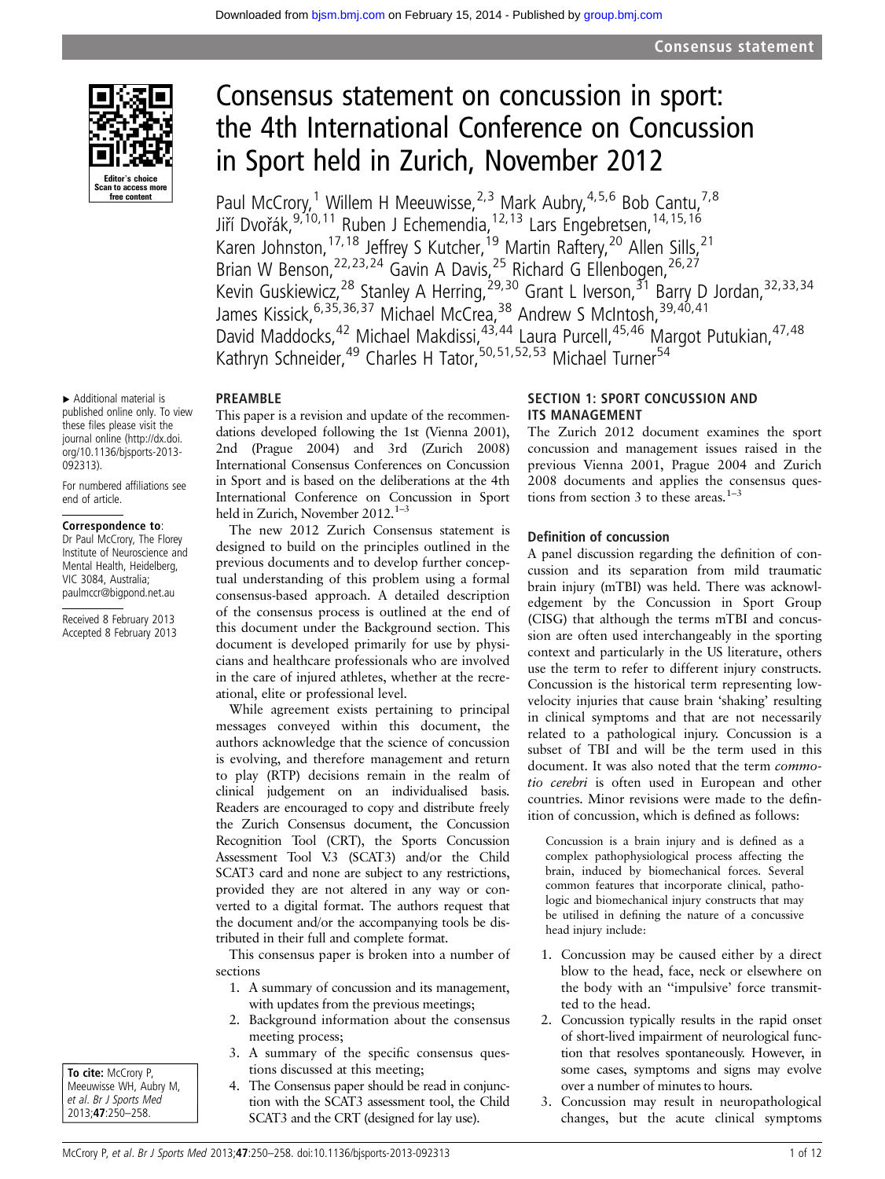

▸ Additional material is published online only. To view these files please visit the journal online [\(http://dx.doi.](http://dx.doi.org/10.1136/bjsports-2013-092313) [org/10.1136/bjsports-2013-](http://dx.doi.org/10.1136/bjsports-2013-092313) [092313](http://dx.doi.org/10.1136/bjsports-2013-092313)).

For numbered affiliations see end of article.

#### Correspondence to:

Dr Paul McCrory, The Florey Institute of Neuroscience and Mental Health, Heidelberg, VIC 3084, Australia; paulmccr@bigpond.net.au

Received 8 February 2013 Accepted 8 February 2013

To cite: McCrory P. Meeuwisse WH, Aubry M, et al. Br J Sports Med 2013;47:250–258.

# Consensus statement on concussion in sport: the 4th International Conference on Concussion in Sport held in Zurich, November 2012

Paul McCrory,<sup>1</sup> Willem H Meeuwisse,<sup>2,3</sup> Mark Aubry,<sup>4,5,6</sup> Bob Cantu,<sup>7,8</sup> Jiří Dvořák, 9,10,11 Ruben J Echemendia, <sup>12,13</sup> Lars Engebretsen, <sup>14,15,16</sup> Karen Johnston, <sup>17, 18</sup> Jeffrey S Kutcher, <sup>19</sup> Martin Raftery, <sup>20</sup> Allen Sills, <sup>21</sup> Brian W Benson, <sup>22, 23, 24</sup> Gavin A Davis, <sup>25</sup> Richard G Ellenbogen, <sup>26, 27</sup> Kevin Guskiewicz,<sup>28</sup> Stanley A Herring,<sup>29,30</sup> Grant L Iverson,<sup>31</sup> Barry D Jordan,<sup>32,33,34</sup> James Kissick, <sup>6, 35, 36, 37</sup> Michael McCrea, <sup>38</sup> Andrew S McIntosh, <sup>39, 40, 41</sup> David Maddocks,<sup>42</sup> Michael Makdissi,<sup>43,44</sup> Laura Purcell,<sup>45,46</sup> Margot Putukian,<sup>47,48</sup> Kathryn Schneider,<sup>49</sup> Charles H Tator,<sup>50,51,52,53</sup> Michael Turner<sup>54</sup>

## PREAMBLE

This paper is a revision and update of the recommendations developed following the 1st (Vienna 2001), 2nd (Prague 2004) and 3rd (Zurich 2008) International Consensus Conferences on Concussion in Sport and is based on the deliberations at the 4th International Conference on Concussion in Sport held in Zurich, November  $2012$ .<sup>1-3</sup>

The new 2012 Zurich Consensus statement is designed to build on the principles outlined in the previous documents and to develop further conceptual understanding of this problem using a formal consensus-based approach. A detailed description of the consensus process is outlined at the end of this document under the Background section. This document is developed primarily for use by physicians and healthcare professionals who are involved in the care of injured athletes, whether at the recreational, elite or professional level.

While agreement exists pertaining to principal messages conveyed within this document, the authors acknowledge that the science of concussion is evolving, and therefore management and return to play (RTP) decisions remain in the realm of clinical judgement on an individualised basis. Readers are encouraged to copy and distribute freely the Zurich Consensus document, the Concussion Recognition Tool (CRT), the Sports Concussion Assessment Tool V.3 (SCAT3) and/or the Child SCAT3 card and none are subject to any restrictions, provided they are not altered in any way or converted to a digital format. The authors request that the document and/or the accompanying tools be distributed in their full and complete format.

This consensus paper is broken into a number of sections

- 1. A summary of concussion and its management, with updates from the previous meetings;
- 2. Background information about the consensus meeting process;
- 3. A summary of the specific consensus questions discussed at this meeting;
- 4. The Consensus paper should be read in conjunction with the SCAT3 assessment tool, the Child SCAT3 and the CRT (designed for lay use).

#### SECTION 1: SPORT CONCUSSION AND ITS MANAGEMENT

The Zurich 2012 document examines the sport concussion and management issues raised in the previous Vienna 2001, Prague 2004 and Zurich 2008 documents and applies the consensus questions from section 3 to these areas. $1-3$ 

## Definition of concussion

A panel discussion regarding the definition of concussion and its separation from mild traumatic brain injury (mTBI) was held. There was acknowledgement by the Concussion in Sport Group (CISG) that although the terms mTBI and concussion are often used interchangeably in the sporting context and particularly in the US literature, others use the term to refer to different injury constructs. Concussion is the historical term representing lowvelocity injuries that cause brain 'shaking' resulting in clinical symptoms and that are not necessarily related to a pathological injury. Concussion is a subset of TBI and will be the term used in this document. It was also noted that the term commotio cerebri is often used in European and other countries. Minor revisions were made to the definition of concussion, which is defined as follows:

Concussion is a brain injury and is defined as a complex pathophysiological process affecting the brain, induced by biomechanical forces. Several common features that incorporate clinical, pathologic and biomechanical injury constructs that may be utilised in defining the nature of a concussive head injury include:

- 1. Concussion may be caused either by a direct blow to the head, face, neck or elsewhere on the body with an ''impulsive' force transmitted to the head.
- 2. Concussion typically results in the rapid onset of short-lived impairment of neurological function that resolves spontaneously. However, in some cases, symptoms and signs may evolve over a number of minutes to hours.
- 3. Concussion may result in neuropathological changes, but the acute clinical symptoms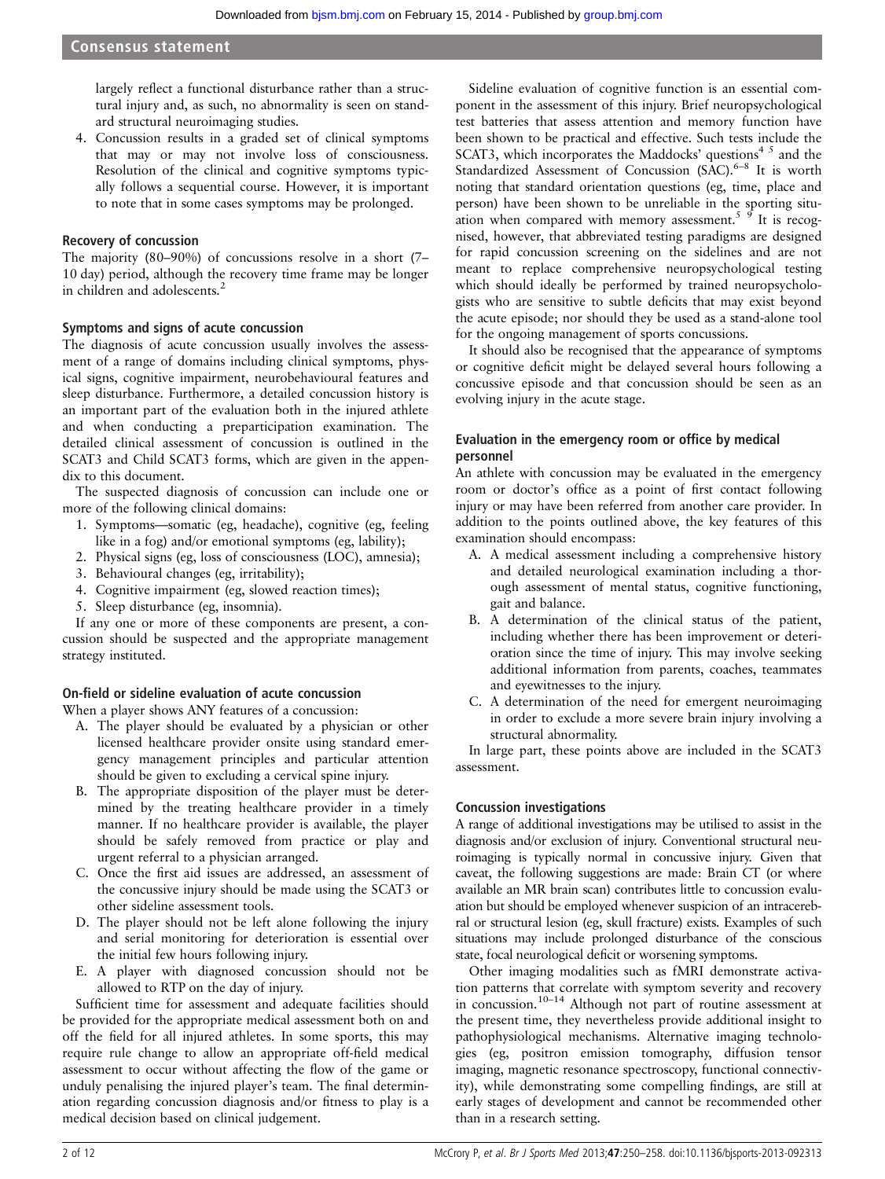largely reflect a functional disturbance rather than a structural injury and, as such, no abnormality is seen on standard structural neuroimaging studies.

4. Concussion results in a graded set of clinical symptoms that may or may not involve loss of consciousness. Resolution of the clinical and cognitive symptoms typically follows a sequential course. However, it is important to note that in some cases symptoms may be prolonged.

# Recovery of concussion

The majority (80–90%) of concussions resolve in a short (7– 10 day) period, although the recovery time frame may be longer in children and adolescents.<sup>2</sup>

#### Symptoms and signs of acute concussion

The diagnosis of acute concussion usually involves the assessment of a range of domains including clinical symptoms, physical signs, cognitive impairment, neurobehavioural features and sleep disturbance. Furthermore, a detailed concussion history is an important part of the evaluation both in the injured athlete and when conducting a preparticipation examination. The detailed clinical assessment of concussion is outlined in the SCAT3 and Child SCAT3 forms, which are given in the appendix to this document.

The suspected diagnosis of concussion can include one or more of the following clinical domains:

- 1. Symptoms—somatic (eg, headache), cognitive (eg, feeling like in a fog) and/or emotional symptoms (eg, lability);
- 2. Physical signs (eg, loss of consciousness (LOC), amnesia);
- 3. Behavioural changes (eg, irritability);
- 4. Cognitive impairment (eg, slowed reaction times);
- 5. Sleep disturbance (eg, insomnia).

If any one or more of these components are present, a concussion should be suspected and the appropriate management strategy instituted.

## On-field or sideline evaluation of acute concussion

When a player shows ANY features of a concussion:

- A. The player should be evaluated by a physician or other licensed healthcare provider onsite using standard emergency management principles and particular attention should be given to excluding a cervical spine injury.
- B. The appropriate disposition of the player must be determined by the treating healthcare provider in a timely manner. If no healthcare provider is available, the player should be safely removed from practice or play and urgent referral to a physician arranged.
- C. Once the first aid issues are addressed, an assessment of the concussive injury should be made using the SCAT3 or other sideline assessment tools.
- D. The player should not be left alone following the injury and serial monitoring for deterioration is essential over the initial few hours following injury.
- E. A player with diagnosed concussion should not be allowed to RTP on the day of injury.

Sufficient time for assessment and adequate facilities should be provided for the appropriate medical assessment both on and off the field for all injured athletes. In some sports, this may require rule change to allow an appropriate off-field medical assessment to occur without affecting the flow of the game or unduly penalising the injured player's team. The final determination regarding concussion diagnosis and/or fitness to play is a medical decision based on clinical judgement.

Sideline evaluation of cognitive function is an essential component in the assessment of this injury. Brief neuropsychological test batteries that assess attention and memory function have been shown to be practical and effective. Such tests include the SCAT3, which incorporates the Maddocks' questions<sup>4  $5$ </sup> and the Standardized Assessment of Concussion  $(SAC)$ .<sup>6–8</sup> It is worth noting that standard orientation questions (eg, time, place and person) have been shown to be unreliable in the sporting situation when compared with memory assessment.<sup>5</sup>  $\frac{9}{9}$  It is recognised, however, that abbreviated testing paradigms are designed for rapid concussion screening on the sidelines and are not meant to replace comprehensive neuropsychological testing which should ideally be performed by trained neuropsychologists who are sensitive to subtle deficits that may exist beyond the acute episode; nor should they be used as a stand-alone tool for the ongoing management of sports concussions.

It should also be recognised that the appearance of symptoms or cognitive deficit might be delayed several hours following a concussive episode and that concussion should be seen as an evolving injury in the acute stage.

#### Evaluation in the emergency room or office by medical personnel

An athlete with concussion may be evaluated in the emergency room or doctor's office as a point of first contact following injury or may have been referred from another care provider. In addition to the points outlined above, the key features of this examination should encompass:

- A. A medical assessment including a comprehensive history and detailed neurological examination including a thorough assessment of mental status, cognitive functioning, gait and balance.
- B. A determination of the clinical status of the patient, including whether there has been improvement or deterioration since the time of injury. This may involve seeking additional information from parents, coaches, teammates and eyewitnesses to the injury.
- C. A determination of the need for emergent neuroimaging in order to exclude a more severe brain injury involving a structural abnormality.

In large part, these points above are included in the SCAT3 assessment.

#### Concussion investigations

A range of additional investigations may be utilised to assist in the diagnosis and/or exclusion of injury. Conventional structural neuroimaging is typically normal in concussive injury. Given that caveat, the following suggestions are made: Brain CT (or where available an MR brain scan) contributes little to concussion evaluation but should be employed whenever suspicion of an intracerebral or structural lesion (eg, skull fracture) exists. Examples of such situations may include prolonged disturbance of the conscious state, focal neurological deficit or worsening symptoms.

Other imaging modalities such as fMRI demonstrate activation patterns that correlate with symptom severity and recovery in concussion.10–<sup>14</sup> Although not part of routine assessment at the present time, they nevertheless provide additional insight to pathophysiological mechanisms. Alternative imaging technologies (eg, positron emission tomography, diffusion tensor imaging, magnetic resonance spectroscopy, functional connectivity), while demonstrating some compelling findings, are still at early stages of development and cannot be recommended other than in a research setting.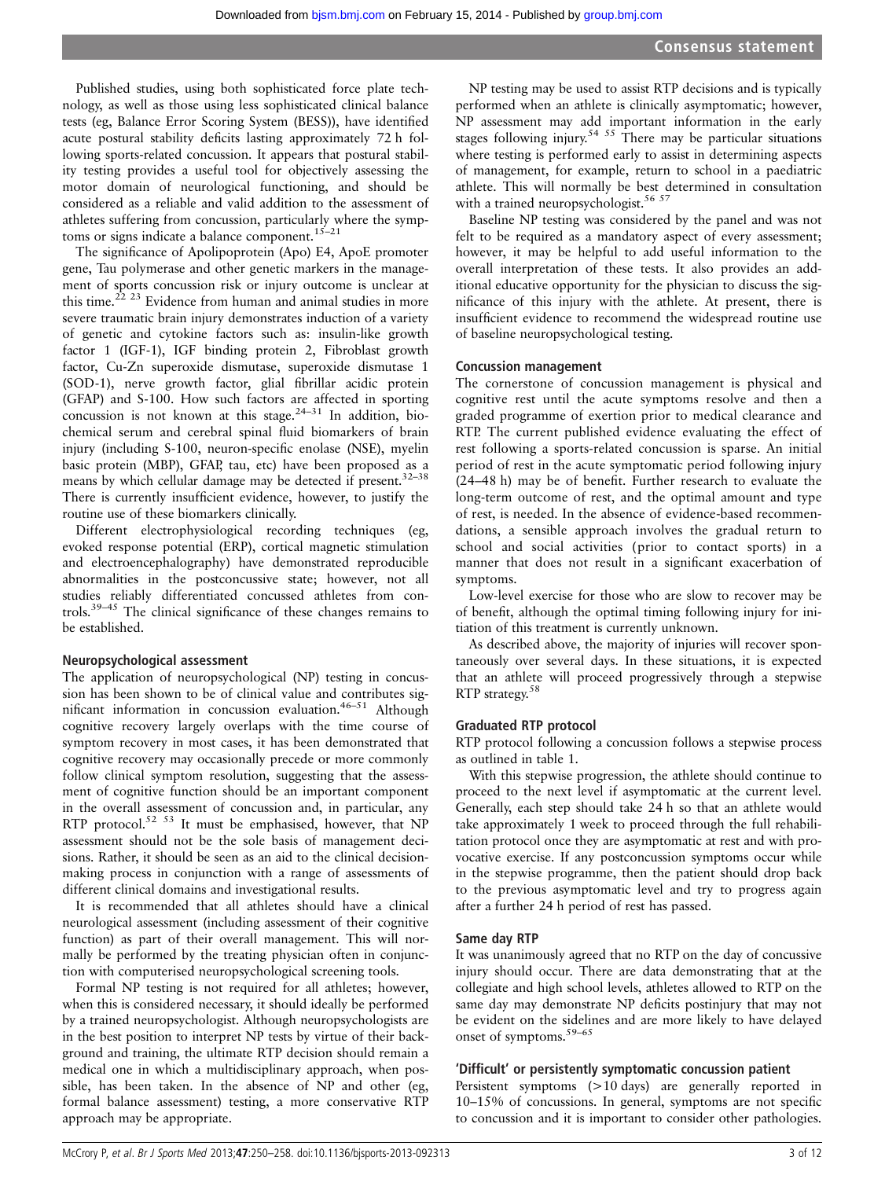Published studies, using both sophisticated force plate technology, as well as those using less sophisticated clinical balance tests (eg, Balance Error Scoring System (BESS)), have identified acute postural stability deficits lasting approximately 72 h following sports-related concussion. It appears that postural stability testing provides a useful tool for objectively assessing the motor domain of neurological functioning, and should be considered as a reliable and valid addition to the assessment of athletes suffering from concussion, particularly where the symptoms or signs indicate a balance component.<sup>15-21</sup>

The significance of Apolipoprotein (Apo) E4, ApoE promoter gene, Tau polymerase and other genetic markers in the management of sports concussion risk or injury outcome is unclear at this time.<sup>22 23</sup> Evidence from human and animal studies in more severe traumatic brain injury demonstrates induction of a variety of genetic and cytokine factors such as: insulin-like growth factor 1 (IGF-1), IGF binding protein 2, Fibroblast growth factor, Cu-Zn superoxide dismutase, superoxide dismutase 1 (SOD-1), nerve growth factor, glial fibrillar acidic protein (GFAP) and S-100. How such factors are affected in sporting concussion is not known at this stage.<sup>24–31</sup> In addition, biochemical serum and cerebral spinal fluid biomarkers of brain injury (including S-100, neuron-specific enolase (NSE), myelin basic protein (MBP), GFAP, tau, etc) have been proposed as a means by which cellular damage may be detected if present.<sup>32-38</sup> There is currently insufficient evidence, however, to justify the routine use of these biomarkers clinically.

Different electrophysiological recording techniques (eg, evoked response potential (ERP), cortical magnetic stimulation and electroencephalography) have demonstrated reproducible abnormalities in the postconcussive state; however, not all studies reliably differentiated concussed athletes from controls.39–<sup>45</sup> The clinical significance of these changes remains to be established.

# Neuropsychological assessment

The application of neuropsychological (NP) testing in concussion has been shown to be of clinical value and contributes significant information in concussion evaluation.46–<sup>51</sup> Although cognitive recovery largely overlaps with the time course of symptom recovery in most cases, it has been demonstrated that cognitive recovery may occasionally precede or more commonly follow clinical symptom resolution, suggesting that the assessment of cognitive function should be an important component in the overall assessment of concussion and, in particular, any RTP protocol.<sup>52 53</sup> It must be emphasised, however, that NP assessment should not be the sole basis of management decisions. Rather, it should be seen as an aid to the clinical decisionmaking process in conjunction with a range of assessments of different clinical domains and investigational results.

It is recommended that all athletes should have a clinical neurological assessment (including assessment of their cognitive function) as part of their overall management. This will normally be performed by the treating physician often in conjunction with computerised neuropsychological screening tools.

Formal NP testing is not required for all athletes; however, when this is considered necessary, it should ideally be performed by a trained neuropsychologist. Although neuropsychologists are in the best position to interpret NP tests by virtue of their background and training, the ultimate RTP decision should remain a medical one in which a multidisciplinary approach, when possible, has been taken. In the absence of NP and other (eg, formal balance assessment) testing, a more conservative RTP approach may be appropriate.

NP testing may be used to assist RTP decisions and is typically performed when an athlete is clinically asymptomatic; however, NP assessment may add important information in the early stages following injury.<sup>54 55</sup> There may be particular situations where testing is performed early to assist in determining aspects of management, for example, return to school in a paediatric athlete. This will normally be best determined in consultation with a trained neuropsychologist.<sup>56 57</sup>

Baseline NP testing was considered by the panel and was not felt to be required as a mandatory aspect of every assessment; however, it may be helpful to add useful information to the overall interpretation of these tests. It also provides an additional educative opportunity for the physician to discuss the significance of this injury with the athlete. At present, there is insufficient evidence to recommend the widespread routine use of baseline neuropsychological testing.

# Concussion management

The cornerstone of concussion management is physical and cognitive rest until the acute symptoms resolve and then a graded programme of exertion prior to medical clearance and RTP. The current published evidence evaluating the effect of rest following a sports-related concussion is sparse. An initial period of rest in the acute symptomatic period following injury (24–48 h) may be of benefit. Further research to evaluate the long-term outcome of rest, and the optimal amount and type of rest, is needed. In the absence of evidence-based recommendations, a sensible approach involves the gradual return to school and social activities ( prior to contact sports) in a manner that does not result in a significant exacerbation of symptoms.

Low-level exercise for those who are slow to recover may be of benefit, although the optimal timing following injury for initiation of this treatment is currently unknown.

As described above, the majority of injuries will recover spontaneously over several days. In these situations, it is expected that an athlete will proceed progressively through a stepwise RTP strategy.<sup>58</sup>

# Graduated RTP protocol

RTP protocol following a concussion follows a stepwise process as outlined in table 1.

With this stepwise progression, the athlete should continue to proceed to the next level if asymptomatic at the current level. Generally, each step should take 24 h so that an athlete would take approximately 1 week to proceed through the full rehabilitation protocol once they are asymptomatic at rest and with provocative exercise. If any postconcussion symptoms occur while in the stepwise programme, then the patient should drop back to the previous asymptomatic level and try to progress again after a further 24 h period of rest has passed.

# Same day RTP

It was unanimously agreed that no RTP on the day of concussive injury should occur. There are data demonstrating that at the collegiate and high school levels, athletes allowed to RTP on the same day may demonstrate NP deficits postinjury that may not be evident on the sidelines and are more likely to have delayed onset of symptoms.59–<sup>65</sup>

# 'Difficult' or persistently symptomatic concussion patient

Persistent symptoms (>10 days) are generally reported in 10–15% of concussions. In general, symptoms are not specific to concussion and it is important to consider other pathologies.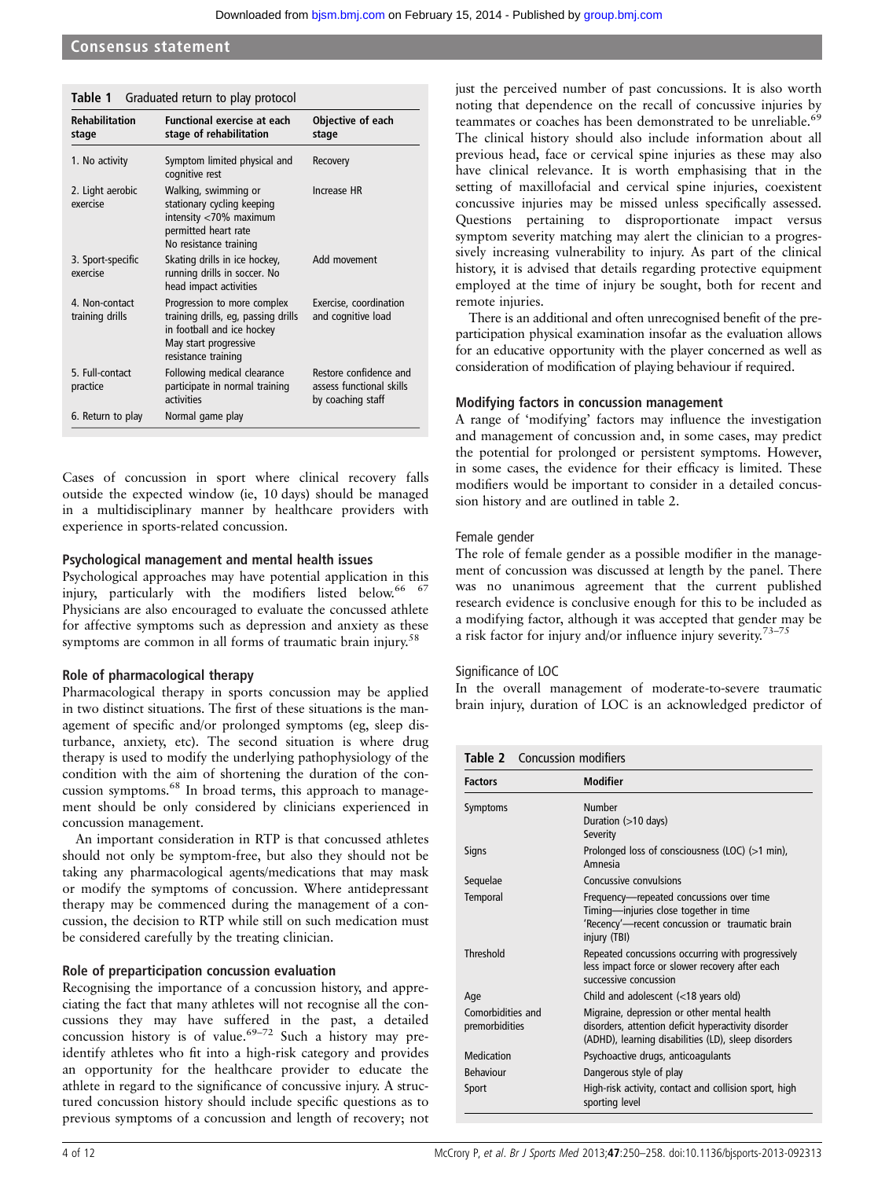| Table 1 | Graduated return to play protocol |  |  |  |  |  |
|---------|-----------------------------------|--|--|--|--|--|
|---------|-----------------------------------|--|--|--|--|--|

| <b>Rehabilitation</b><br>stage    | <b>Functional exercise at each</b><br>stage of rehabilitation                                                                                    | Objective of each<br>stage                                              |
|-----------------------------------|--------------------------------------------------------------------------------------------------------------------------------------------------|-------------------------------------------------------------------------|
| 1. No activity                    | Symptom limited physical and<br>cognitive rest                                                                                                   | Recovery                                                                |
| 2. Light aerobic<br>exercise      | Walking, swimming or<br>stationary cycling keeping<br>intensity <70% maximum<br>permitted heart rate<br>No resistance training                   | Increase HR                                                             |
| 3. Sport-specific<br>exercise     | Skating drills in ice hockey,<br>running drills in soccer. No<br>head impact activities                                                          | Add movement                                                            |
| 4. Non-contact<br>training drills | Progression to more complex<br>training drills, eg, passing drills<br>in football and ice hockey<br>May start progressive<br>resistance training | Exercise, coordination<br>and cognitive load                            |
| 5. Full-contact<br>practice       | Following medical clearance<br>participate in normal training<br>activities                                                                      | Restore confidence and<br>assess functional skills<br>by coaching staff |
| 6. Return to play                 | Normal game play                                                                                                                                 |                                                                         |

Cases of concussion in sport where clinical recovery falls outside the expected window (ie, 10 days) should be managed in a multidisciplinary manner by healthcare providers with experience in sports-related concussion.

#### Psychological management and mental health issues

Psychological approaches may have potential application in this injury, particularly with the modifiers listed below.<sup>66 67</sup> Physicians are also encouraged to evaluate the concussed athlete for affective symptoms such as depression and anxiety as these symptoms are common in all forms of traumatic brain injury.<sup>58</sup>

#### Role of pharmacological therapy

Pharmacological therapy in sports concussion may be applied in two distinct situations. The first of these situations is the management of specific and/or prolonged symptoms (eg, sleep disturbance, anxiety, etc). The second situation is where drug therapy is used to modify the underlying pathophysiology of the condition with the aim of shortening the duration of the concussion symptoms.<sup>68</sup> In broad terms, this approach to management should be only considered by clinicians experienced in concussion management.

An important consideration in RTP is that concussed athletes should not only be symptom-free, but also they should not be taking any pharmacological agents/medications that may mask or modify the symptoms of concussion. Where antidepressant therapy may be commenced during the management of a concussion, the decision to RTP while still on such medication must be considered carefully by the treating clinician.

#### Role of preparticipation concussion evaluation

Recognising the importance of a concussion history, and appreciating the fact that many athletes will not recognise all the concussions they may have suffered in the past, a detailed concussion history is of value.<sup>69-72</sup> Such a history may preidentify athletes who fit into a high-risk category and provides an opportunity for the healthcare provider to educate the athlete in regard to the significance of concussive injury. A structured concussion history should include specific questions as to previous symptoms of a concussion and length of recovery; not

just the perceived number of past concussions. It is also worth noting that dependence on the recall of concussive injuries by teammates or coaches has been demonstrated to be unreliable.<sup>69</sup> The clinical history should also include information about all previous head, face or cervical spine injuries as these may also have clinical relevance. It is worth emphasising that in the setting of maxillofacial and cervical spine injuries, coexistent concussive injuries may be missed unless specifically assessed. Questions pertaining to disproportionate impact versus symptom severity matching may alert the clinician to a progressively increasing vulnerability to injury. As part of the clinical history, it is advised that details regarding protective equipment employed at the time of injury be sought, both for recent and remote injuries.

There is an additional and often unrecognised benefit of the preparticipation physical examination insofar as the evaluation allows for an educative opportunity with the player concerned as well as consideration of modification of playing behaviour if required.

#### Modifying factors in concussion management

A range of 'modifying' factors may influence the investigation and management of concussion and, in some cases, may predict the potential for prolonged or persistent symptoms. However, in some cases, the evidence for their efficacy is limited. These modifiers would be important to consider in a detailed concussion history and are outlined in table 2.

#### Female gender

The role of female gender as a possible modifier in the management of concussion was discussed at length by the panel. There was no unanimous agreement that the current published research evidence is conclusive enough for this to be included as a modifying factor, although it was accepted that gender may be a risk factor for injury and/or influence injury severity.73–<sup>75</sup>

#### Significance of LOC

In the overall management of moderate-to-severe traumatic brain injury, duration of LOC is an acknowledged predictor of

| <b>Table 2</b> Concussion modifiers |                                                                                                                                                           |  |
|-------------------------------------|-----------------------------------------------------------------------------------------------------------------------------------------------------------|--|
| <b>Factors</b>                      | Modifier                                                                                                                                                  |  |
| Symptoms                            | Number<br>Duration (>10 days)<br>Severity                                                                                                                 |  |
| Signs                               | Prolonged loss of consciousness (LOC) (>1 min),<br>Amnesia                                                                                                |  |
| Sequelae                            | Concussive convulsions                                                                                                                                    |  |
| Temporal                            | Frequency-repeated concussions over time<br>Timing-injuries close together in time<br>'Recency'-recent concussion or traumatic brain<br>injury (TBI)      |  |
| Threshold                           | Repeated concussions occurring with progressively<br>less impact force or slower recovery after each<br>successive concussion                             |  |
| Age                                 | Child and adolescent $\left($ < 18 years old)                                                                                                             |  |
| Comorbidities and<br>premorbidities | Migraine, depression or other mental health<br>disorders, attention deficit hyperactivity disorder<br>(ADHD), learning disabilities (LD), sleep disorders |  |
| Medication                          | Psychoactive drugs, anticoagulants                                                                                                                        |  |
| Behaviour                           | Dangerous style of play                                                                                                                                   |  |
| Sport                               | High-risk activity, contact and collision sport, high<br>sporting level                                                                                   |  |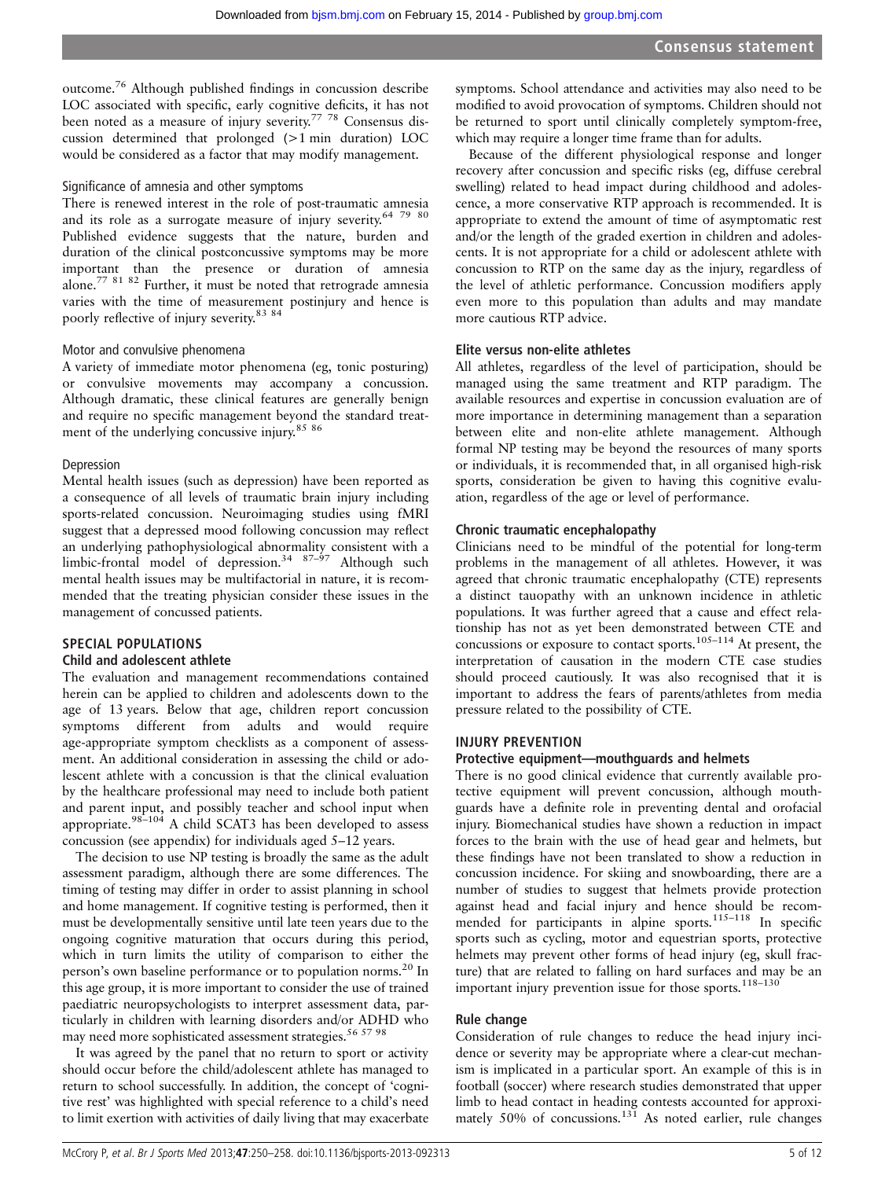outcome.<sup>76</sup> Although published findings in concussion describe LOC associated with specific, early cognitive deficits, it has not been noted as a measure of injury severity.<sup>77</sup> <sup>78</sup> Consensus discussion determined that prolonged (>1 min duration) LOC would be considered as a factor that may modify management.

#### Significance of amnesia and other symptoms

There is renewed interest in the role of post-traumatic amnesia and its role as a surrogate measure of injury severity.<sup>64</sup> 79 80 Published evidence suggests that the nature, burden and duration of the clinical postconcussive symptoms may be more important than the presence or duration of amnesia alone.77 81 82 Further, it must be noted that retrograde amnesia varies with the time of measurement postinjury and hence is poorly reflective of injury severity.83 84

#### Motor and convulsive phenomena

A variety of immediate motor phenomena (eg, tonic posturing) or convulsive movements may accompany a concussion. Although dramatic, these clinical features are generally benign and require no specific management beyond the standard treatment of the underlying concussive injury.<sup>85 86</sup>

#### Depression

Mental health issues (such as depression) have been reported as a consequence of all levels of traumatic brain injury including sports-related concussion. Neuroimaging studies using fMRI suggest that a depressed mood following concussion may reflect an underlying pathophysiological abnormality consistent with a limbic-frontal model of depression.<sup>34</sup>  $87-\frac{97}{7}$  Although such mental health issues may be multifactorial in nature, it is recommended that the treating physician consider these issues in the management of concussed patients.

## SPECIAL POPULATIONS

## Child and adolescent athlete

The evaluation and management recommendations contained herein can be applied to children and adolescents down to the age of 13 years. Below that age, children report concussion symptoms different from adults and would require age-appropriate symptom checklists as a component of assessment. An additional consideration in assessing the child or adolescent athlete with a concussion is that the clinical evaluation by the healthcare professional may need to include both patient and parent input, and possibly teacher and school input when appropriate.<sup>98-104</sup> A child SCAT3 has been developed to assess concussion (see appendix) for individuals aged 5–12 years.

The decision to use NP testing is broadly the same as the adult assessment paradigm, although there are some differences. The timing of testing may differ in order to assist planning in school and home management. If cognitive testing is performed, then it must be developmentally sensitive until late teen years due to the ongoing cognitive maturation that occurs during this period, which in turn limits the utility of comparison to either the person's own baseline performance or to population norms.<sup>20</sup> In this age group, it is more important to consider the use of trained paediatric neuropsychologists to interpret assessment data, particularly in children with learning disorders and/or ADHD who may need more sophisticated assessment strategies.<sup>56 57 98</sup>

It was agreed by the panel that no return to sport or activity should occur before the child/adolescent athlete has managed to return to school successfully. In addition, the concept of 'cognitive rest' was highlighted with special reference to a child's need to limit exertion with activities of daily living that may exacerbate

symptoms. School attendance and activities may also need to be modified to avoid provocation of symptoms. Children should not be returned to sport until clinically completely symptom-free, which may require a longer time frame than for adults.

Because of the different physiological response and longer recovery after concussion and specific risks (eg, diffuse cerebral swelling) related to head impact during childhood and adolescence, a more conservative RTP approach is recommended. It is appropriate to extend the amount of time of asymptomatic rest and/or the length of the graded exertion in children and adolescents. It is not appropriate for a child or adolescent athlete with concussion to RTP on the same day as the injury, regardless of the level of athletic performance. Concussion modifiers apply even more to this population than adults and may mandate more cautious RTP advice.

#### Elite versus non-elite athletes

All athletes, regardless of the level of participation, should be managed using the same treatment and RTP paradigm. The available resources and expertise in concussion evaluation are of more importance in determining management than a separation between elite and non-elite athlete management. Although formal NP testing may be beyond the resources of many sports or individuals, it is recommended that, in all organised high-risk sports, consideration be given to having this cognitive evaluation, regardless of the age or level of performance.

#### Chronic traumatic encephalopathy

Clinicians need to be mindful of the potential for long-term problems in the management of all athletes. However, it was agreed that chronic traumatic encephalopathy (CTE) represents a distinct tauopathy with an unknown incidence in athletic populations. It was further agreed that a cause and effect relationship has not as yet been demonstrated between CTE and concussions or exposure to contact sports.<sup>105–114</sup> At present, the interpretation of causation in the modern CTE case studies should proceed cautiously. It was also recognised that it is important to address the fears of parents/athletes from media pressure related to the possibility of CTE.

#### INJURY PREVENTION

#### Protective equipment—mouthguards and helmets

There is no good clinical evidence that currently available protective equipment will prevent concussion, although mouthguards have a definite role in preventing dental and orofacial injury. Biomechanical studies have shown a reduction in impact forces to the brain with the use of head gear and helmets, but these findings have not been translated to show a reduction in concussion incidence. For skiing and snowboarding, there are a number of studies to suggest that helmets provide protection against head and facial injury and hence should be recommended for participants in alpine sports. $115-118$  In specific sports such as cycling, motor and equestrian sports, protective helmets may prevent other forms of head injury (eg, skull fracture) that are related to falling on hard surfaces and may be an important injury prevention issue for those sports. $118-130$ 

#### Rule change

Consideration of rule changes to reduce the head injury incidence or severity may be appropriate where a clear-cut mechanism is implicated in a particular sport. An example of this is in football (soccer) where research studies demonstrated that upper limb to head contact in heading contests accounted for approximately 50% of concussions.<sup>131</sup> As noted earlier, rule changes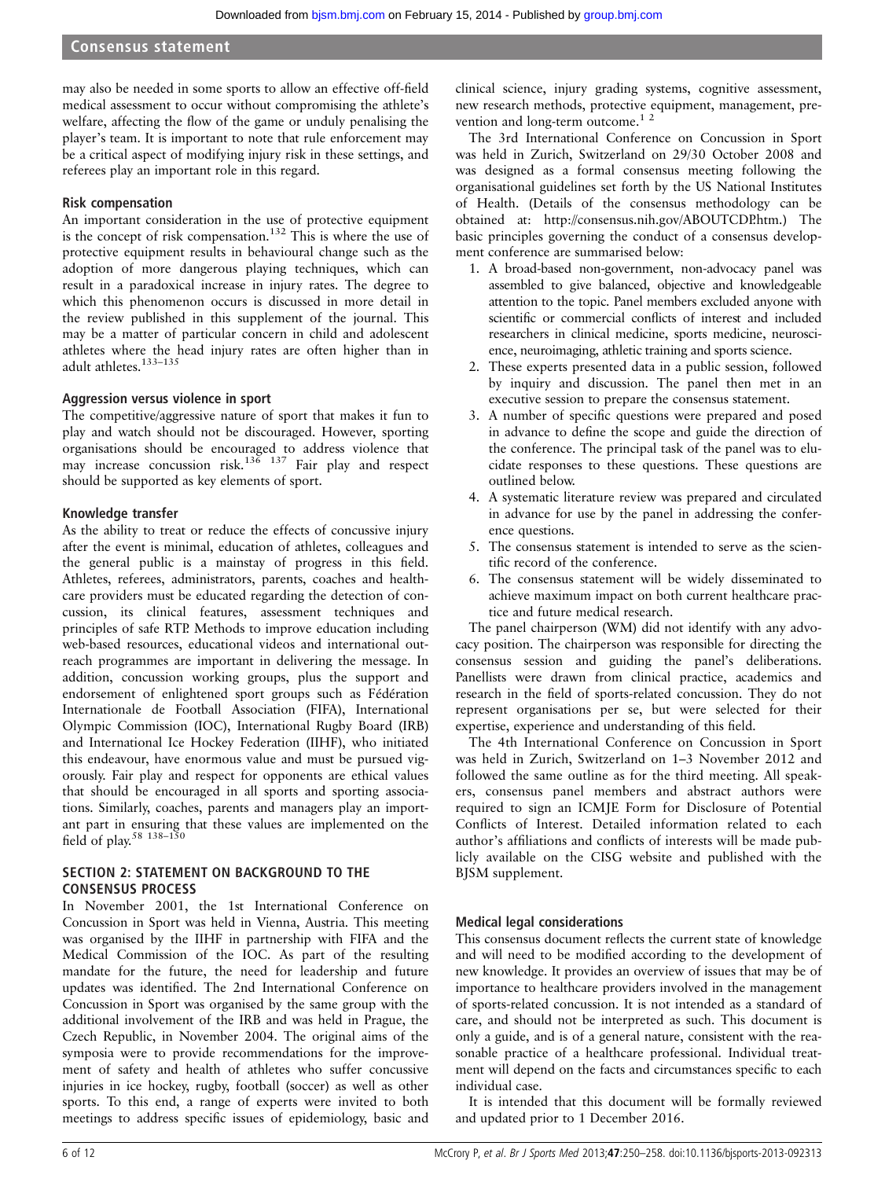may also be needed in some sports to allow an effective off-field medical assessment to occur without compromising the athlete's welfare, affecting the flow of the game or unduly penalising the player's team. It is important to note that rule enforcement may be a critical aspect of modifying injury risk in these settings, and referees play an important role in this regard.

#### Risk compensation

An important consideration in the use of protective equipment is the concept of risk compensation.<sup>132</sup> This is where the use of protective equipment results in behavioural change such as the adoption of more dangerous playing techniques, which can result in a paradoxical increase in injury rates. The degree to which this phenomenon occurs is discussed in more detail in the review published in this supplement of the journal. This may be a matter of particular concern in child and adolescent athletes where the head injury rates are often higher than in adult athletes.<sup>133-135</sup>

## Aggression versus violence in sport

The competitive/aggressive nature of sport that makes it fun to play and watch should not be discouraged. However, sporting organisations should be encouraged to address violence that may increase concussion risk.<sup>136</sup> <sup>137</sup> Fair play and respect should be supported as key elements of sport.

#### Knowledge transfer

As the ability to treat or reduce the effects of concussive injury after the event is minimal, education of athletes, colleagues and the general public is a mainstay of progress in this field. Athletes, referees, administrators, parents, coaches and healthcare providers must be educated regarding the detection of concussion, its clinical features, assessment techniques and principles of safe RTP. Methods to improve education including web-based resources, educational videos and international outreach programmes are important in delivering the message. In addition, concussion working groups, plus the support and endorsement of enlightened sport groups such as Fédération Internationale de Football Association (FIFA), International Olympic Commission (IOC), International Rugby Board (IRB) and International Ice Hockey Federation (IIHF), who initiated this endeavour, have enormous value and must be pursued vigorously. Fair play and respect for opponents are ethical values that should be encouraged in all sports and sporting associations. Similarly, coaches, parents and managers play an important part in ensuring that these values are implemented on the field of play.<sup>58 138-150</sup>

#### SECTION 2: STATEMENT ON BACKGROUND TO THE CONSENSUS PROCESS

In November 2001, the 1st International Conference on Concussion in Sport was held in Vienna, Austria. This meeting was organised by the IIHF in partnership with FIFA and the Medical Commission of the IOC. As part of the resulting mandate for the future, the need for leadership and future updates was identified. The 2nd International Conference on Concussion in Sport was organised by the same group with the additional involvement of the IRB and was held in Prague, the Czech Republic, in November 2004. The original aims of the symposia were to provide recommendations for the improvement of safety and health of athletes who suffer concussive injuries in ice hockey, rugby, football (soccer) as well as other sports. To this end, a range of experts were invited to both meetings to address specific issues of epidemiology, basic and clinical science, injury grading systems, cognitive assessment, new research methods, protective equipment, management, prevention and long-term outcome.<sup>1</sup> <sup>2</sup>

The 3rd International Conference on Concussion in Sport was held in Zurich, Switzerland on 29/30 October 2008 and was designed as a formal consensus meeting following the organisational guidelines set forth by the US National Institutes of Health. (Details of the consensus methodology can be obtained at: [http://consensus.nih.gov/ABOUTCDP.htm.\)](http://consensus.nih.gov/ABOUTCDP.htm.) The basic principles governing the conduct of a consensus development conference are summarised below:

- 1. A broad-based non-government, non-advocacy panel was assembled to give balanced, objective and knowledgeable attention to the topic. Panel members excluded anyone with scientific or commercial conflicts of interest and included researchers in clinical medicine, sports medicine, neuroscience, neuroimaging, athletic training and sports science.
- 2. These experts presented data in a public session, followed by inquiry and discussion. The panel then met in an executive session to prepare the consensus statement.
- 3. A number of specific questions were prepared and posed in advance to define the scope and guide the direction of the conference. The principal task of the panel was to elucidate responses to these questions. These questions are outlined below.
- 4. A systematic literature review was prepared and circulated in advance for use by the panel in addressing the conference questions.
- 5. The consensus statement is intended to serve as the scientific record of the conference.
- 6. The consensus statement will be widely disseminated to achieve maximum impact on both current healthcare practice and future medical research.

The panel chairperson (WM) did not identify with any advocacy position. The chairperson was responsible for directing the consensus session and guiding the panel's deliberations. Panellists were drawn from clinical practice, academics and research in the field of sports-related concussion. They do not represent organisations per se, but were selected for their expertise, experience and understanding of this field.

The 4th International Conference on Concussion in Sport was held in Zurich, Switzerland on 1–3 November 2012 and followed the same outline as for the third meeting. All speakers, consensus panel members and abstract authors were required to sign an ICMJE Form for Disclosure of Potential Conflicts of Interest. Detailed information related to each author's affiliations and conflicts of interests will be made publicly available on the CISG website and published with the BJSM supplement.

## Medical legal considerations

This consensus document reflects the current state of knowledge and will need to be modified according to the development of new knowledge. It provides an overview of issues that may be of importance to healthcare providers involved in the management of sports-related concussion. It is not intended as a standard of care, and should not be interpreted as such. This document is only a guide, and is of a general nature, consistent with the reasonable practice of a healthcare professional. Individual treatment will depend on the facts and circumstances specific to each individual case.

It is intended that this document will be formally reviewed and updated prior to 1 December 2016.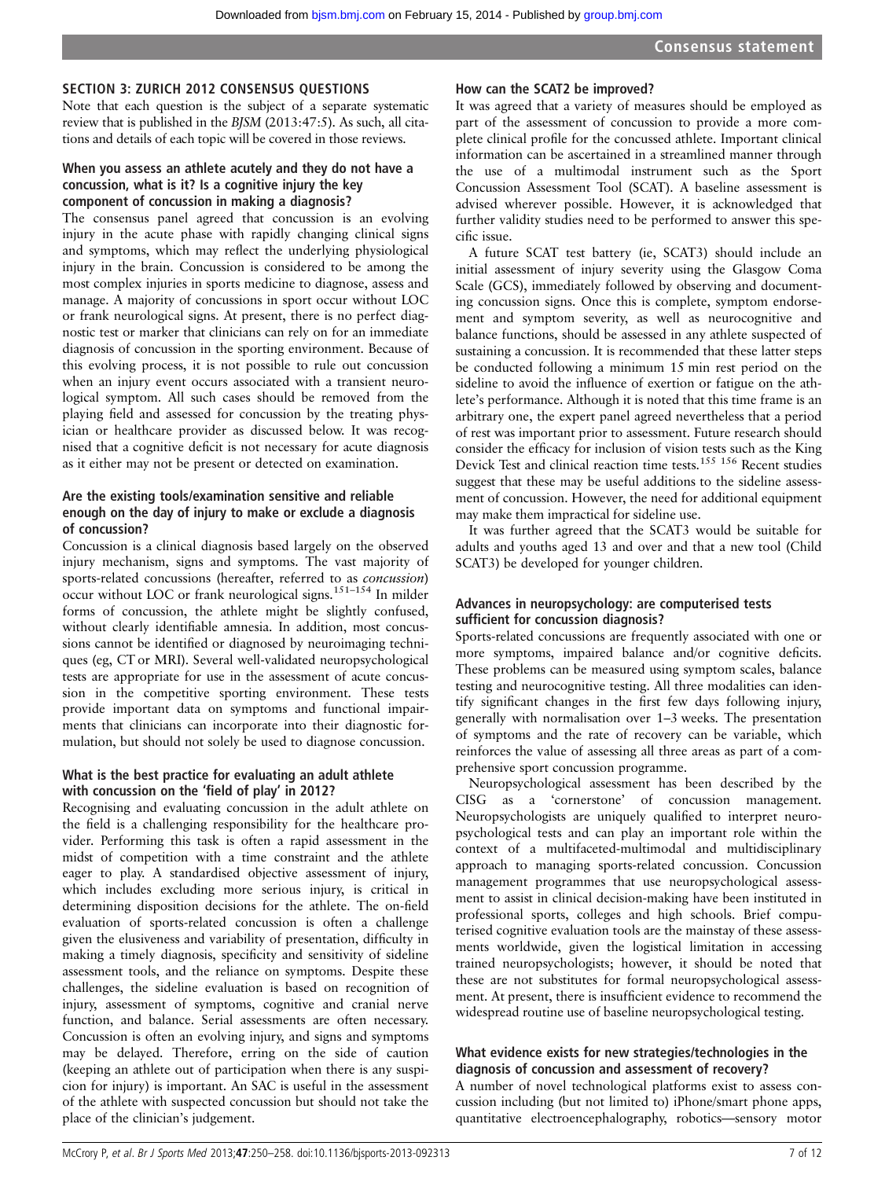# SECTION 3: ZURICH 2012 CONSENSUS QUESTIONS

Note that each question is the subject of a separate systematic review that is published in the BJSM (2013:47:5). As such, all citations and details of each topic will be covered in those reviews.

# When you assess an athlete acutely and they do not have a concussion, what is it? Is a cognitive injury the key component of concussion in making a diagnosis?

The consensus panel agreed that concussion is an evolving injury in the acute phase with rapidly changing clinical signs and symptoms, which may reflect the underlying physiological injury in the brain. Concussion is considered to be among the most complex injuries in sports medicine to diagnose, assess and manage. A majority of concussions in sport occur without LOC or frank neurological signs. At present, there is no perfect diagnostic test or marker that clinicians can rely on for an immediate diagnosis of concussion in the sporting environment. Because of this evolving process, it is not possible to rule out concussion when an injury event occurs associated with a transient neurological symptom. All such cases should be removed from the playing field and assessed for concussion by the treating physician or healthcare provider as discussed below. It was recognised that a cognitive deficit is not necessary for acute diagnosis as it either may not be present or detected on examination.

# Are the existing tools/examination sensitive and reliable enough on the day of injury to make or exclude a diagnosis of concussion?

Concussion is a clinical diagnosis based largely on the observed injury mechanism, signs and symptoms. The vast majority of sports-related concussions (hereafter, referred to as concussion) occur without LOC or frank neurological signs.<sup>151–154</sup> In milder forms of concussion, the athlete might be slightly confused, without clearly identifiable amnesia. In addition, most concussions cannot be identified or diagnosed by neuroimaging techniques (eg, CT or MRI). Several well-validated neuropsychological tests are appropriate for use in the assessment of acute concussion in the competitive sporting environment. These tests provide important data on symptoms and functional impairments that clinicians can incorporate into their diagnostic formulation, but should not solely be used to diagnose concussion.

# What is the best practice for evaluating an adult athlete with concussion on the 'field of play' in 2012?

Recognising and evaluating concussion in the adult athlete on the field is a challenging responsibility for the healthcare provider. Performing this task is often a rapid assessment in the midst of competition with a time constraint and the athlete eager to play. A standardised objective assessment of injury, which includes excluding more serious injury, is critical in determining disposition decisions for the athlete. The on-field evaluation of sports-related concussion is often a challenge given the elusiveness and variability of presentation, difficulty in making a timely diagnosis, specificity and sensitivity of sideline assessment tools, and the reliance on symptoms. Despite these challenges, the sideline evaluation is based on recognition of injury, assessment of symptoms, cognitive and cranial nerve function, and balance. Serial assessments are often necessary. Concussion is often an evolving injury, and signs and symptoms may be delayed. Therefore, erring on the side of caution (keeping an athlete out of participation when there is any suspicion for injury) is important. An SAC is useful in the assessment of the athlete with suspected concussion but should not take the place of the clinician's judgement.

## How can the SCAT2 be improved?

It was agreed that a variety of measures should be employed as part of the assessment of concussion to provide a more complete clinical profile for the concussed athlete. Important clinical information can be ascertained in a streamlined manner through the use of a multimodal instrument such as the Sport Concussion Assessment Tool (SCAT). A baseline assessment is advised wherever possible. However, it is acknowledged that further validity studies need to be performed to answer this specific issue.

A future SCAT test battery (ie, SCAT3) should include an initial assessment of injury severity using the Glasgow Coma Scale (GCS), immediately followed by observing and documenting concussion signs. Once this is complete, symptom endorsement and symptom severity, as well as neurocognitive and balance functions, should be assessed in any athlete suspected of sustaining a concussion. It is recommended that these latter steps be conducted following a minimum 15 min rest period on the sideline to avoid the influence of exertion or fatigue on the athlete's performance. Although it is noted that this time frame is an arbitrary one, the expert panel agreed nevertheless that a period of rest was important prior to assessment. Future research should consider the efficacy for inclusion of vision tests such as the King Devick Test and clinical reaction time tests.<sup>155</sup> 156 Recent studies suggest that these may be useful additions to the sideline assessment of concussion. However, the need for additional equipment may make them impractical for sideline use.

It was further agreed that the SCAT3 would be suitable for adults and youths aged 13 and over and that a new tool (Child SCAT3) be developed for younger children.

# Advances in neuropsychology: are computerised tests sufficient for concussion diagnosis?

Sports-related concussions are frequently associated with one or more symptoms, impaired balance and/or cognitive deficits. These problems can be measured using symptom scales, balance testing and neurocognitive testing. All three modalities can identify significant changes in the first few days following injury, generally with normalisation over 1–3 weeks. The presentation of symptoms and the rate of recovery can be variable, which reinforces the value of assessing all three areas as part of a comprehensive sport concussion programme.

Neuropsychological assessment has been described by the CISG as a 'cornerstone' of concussion management. Neuropsychologists are uniquely qualified to interpret neuropsychological tests and can play an important role within the context of a multifaceted-multimodal and multidisciplinary approach to managing sports-related concussion. Concussion management programmes that use neuropsychological assessment to assist in clinical decision-making have been instituted in professional sports, colleges and high schools. Brief computerised cognitive evaluation tools are the mainstay of these assessments worldwide, given the logistical limitation in accessing trained neuropsychologists; however, it should be noted that these are not substitutes for formal neuropsychological assessment. At present, there is insufficient evidence to recommend the widespread routine use of baseline neuropsychological testing.

# What evidence exists for new strategies/technologies in the diagnosis of concussion and assessment of recovery?

A number of novel technological platforms exist to assess concussion including (but not limited to) iPhone/smart phone apps, quantitative electroencephalography, robotics—sensory motor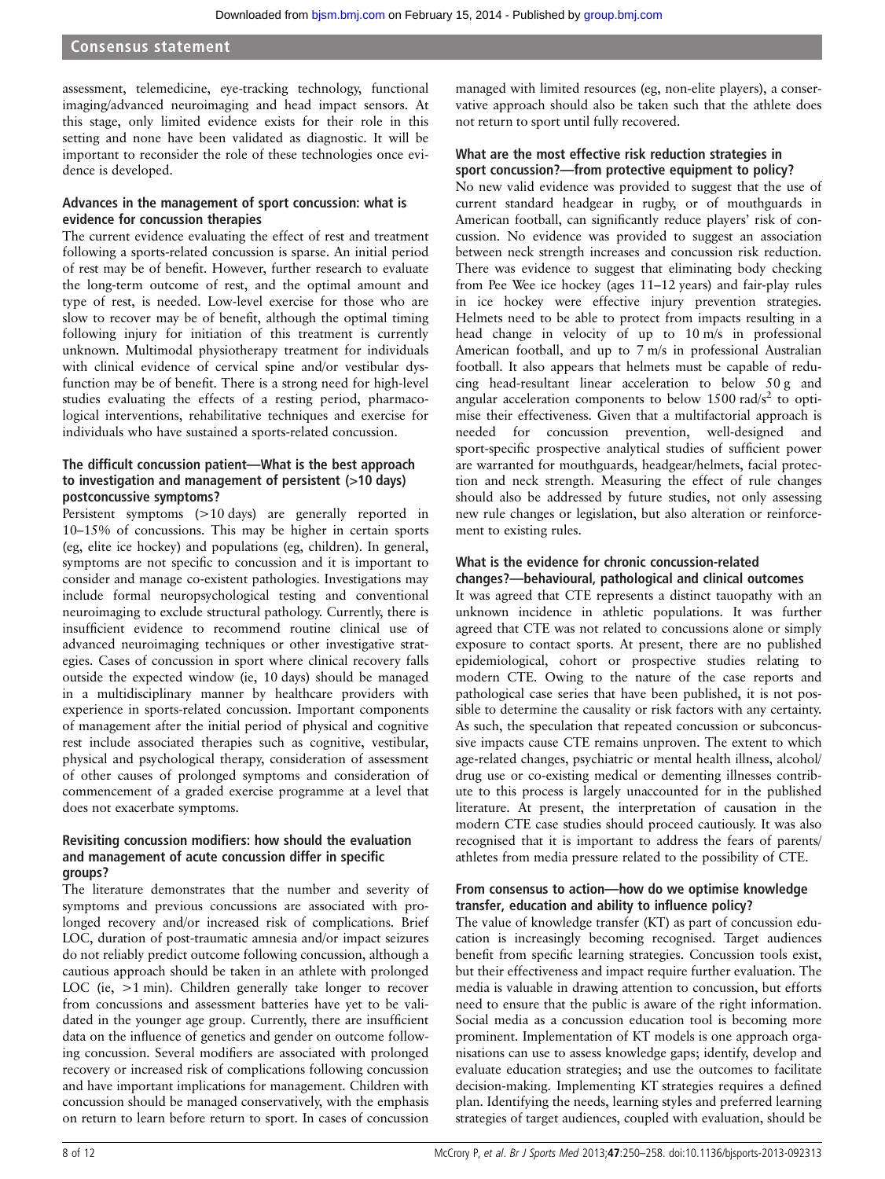assessment, telemedicine, eye-tracking technology, functional imaging/advanced neuroimaging and head impact sensors. At this stage, only limited evidence exists for their role in this setting and none have been validated as diagnostic. It will be important to reconsider the role of these technologies once evidence is developed.

## Advances in the management of sport concussion: what is evidence for concussion therapies

The current evidence evaluating the effect of rest and treatment following a sports-related concussion is sparse. An initial period of rest may be of benefit. However, further research to evaluate the long-term outcome of rest, and the optimal amount and type of rest, is needed. Low-level exercise for those who are slow to recover may be of benefit, although the optimal timing following injury for initiation of this treatment is currently unknown. Multimodal physiotherapy treatment for individuals with clinical evidence of cervical spine and/or vestibular dysfunction may be of benefit. There is a strong need for high-level studies evaluating the effects of a resting period, pharmacological interventions, rehabilitative techniques and exercise for individuals who have sustained a sports-related concussion.

#### The difficult concussion patient—What is the best approach to investigation and management of persistent (>10 days) postconcussive symptoms?

Persistent symptoms (>10 days) are generally reported in 10–15% of concussions. This may be higher in certain sports (eg, elite ice hockey) and populations (eg, children). In general, symptoms are not specific to concussion and it is important to consider and manage co-existent pathologies. Investigations may include formal neuropsychological testing and conventional neuroimaging to exclude structural pathology. Currently, there is insufficient evidence to recommend routine clinical use of advanced neuroimaging techniques or other investigative strategies. Cases of concussion in sport where clinical recovery falls outside the expected window (ie, 10 days) should be managed in a multidisciplinary manner by healthcare providers with experience in sports-related concussion. Important components of management after the initial period of physical and cognitive rest include associated therapies such as cognitive, vestibular, physical and psychological therapy, consideration of assessment of other causes of prolonged symptoms and consideration of commencement of a graded exercise programme at a level that does not exacerbate symptoms.

## Revisiting concussion modifiers: how should the evaluation and management of acute concussion differ in specific groups?

The literature demonstrates that the number and severity of symptoms and previous concussions are associated with prolonged recovery and/or increased risk of complications. Brief LOC, duration of post-traumatic amnesia and/or impact seizures do not reliably predict outcome following concussion, although a cautious approach should be taken in an athlete with prolonged LOC (ie, >1 min). Children generally take longer to recover from concussions and assessment batteries have yet to be validated in the younger age group. Currently, there are insufficient data on the influence of genetics and gender on outcome following concussion. Several modifiers are associated with prolonged recovery or increased risk of complications following concussion and have important implications for management. Children with concussion should be managed conservatively, with the emphasis on return to learn before return to sport. In cases of concussion

managed with limited resources (eg, non-elite players), a conservative approach should also be taken such that the athlete does not return to sport until fully recovered.

# What are the most effective risk reduction strategies in sport concussion?—from protective equipment to policy?

No new valid evidence was provided to suggest that the use of current standard headgear in rugby, or of mouthguards in American football, can significantly reduce players' risk of concussion. No evidence was provided to suggest an association between neck strength increases and concussion risk reduction. There was evidence to suggest that eliminating body checking from Pee Wee ice hockey (ages 11–12 years) and fair-play rules in ice hockey were effective injury prevention strategies. Helmets need to be able to protect from impacts resulting in a head change in velocity of up to 10 m/s in professional American football, and up to 7 m/s in professional Australian football. It also appears that helmets must be capable of reducing head-resultant linear acceleration to below 50 g and angular acceleration components to below  $1500 \text{ rad/s}^2$  to optimise their effectiveness. Given that a multifactorial approach is needed for concussion prevention, well-designed and sport-specific prospective analytical studies of sufficient power are warranted for mouthguards, headgear/helmets, facial protection and neck strength. Measuring the effect of rule changes should also be addressed by future studies, not only assessing new rule changes or legislation, but also alteration or reinforcement to existing rules.

#### What is the evidence for chronic concussion-related changes?—behavioural, pathological and clinical outcomes

It was agreed that CTE represents a distinct tauopathy with an unknown incidence in athletic populations. It was further agreed that CTE was not related to concussions alone or simply exposure to contact sports. At present, there are no published epidemiological, cohort or prospective studies relating to modern CTE. Owing to the nature of the case reports and pathological case series that have been published, it is not possible to determine the causality or risk factors with any certainty. As such, the speculation that repeated concussion or subconcussive impacts cause CTE remains unproven. The extent to which age-related changes, psychiatric or mental health illness, alcohol/ drug use or co-existing medical or dementing illnesses contribute to this process is largely unaccounted for in the published literature. At present, the interpretation of causation in the modern CTE case studies should proceed cautiously. It was also recognised that it is important to address the fears of parents/ athletes from media pressure related to the possibility of CTE.

# From consensus to action—how do we optimise knowledge transfer, education and ability to influence policy?

The value of knowledge transfer (KT) as part of concussion education is increasingly becoming recognised. Target audiences benefit from specific learning strategies. Concussion tools exist, but their effectiveness and impact require further evaluation. The media is valuable in drawing attention to concussion, but efforts need to ensure that the public is aware of the right information. Social media as a concussion education tool is becoming more prominent. Implementation of KT models is one approach organisations can use to assess knowledge gaps; identify, develop and evaluate education strategies; and use the outcomes to facilitate decision-making. Implementing KT strategies requires a defined plan. Identifying the needs, learning styles and preferred learning strategies of target audiences, coupled with evaluation, should be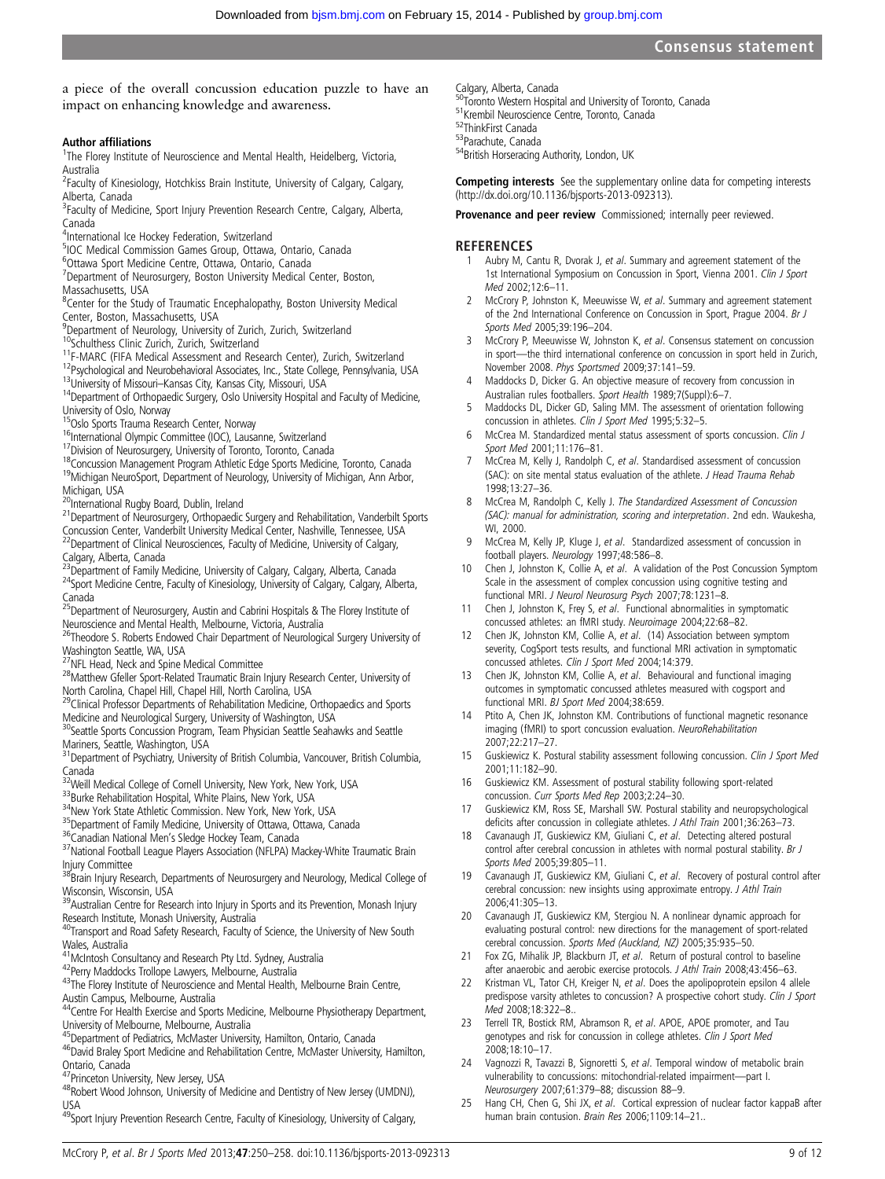a piece of the overall concussion education puzzle to have an impact on enhancing knowledge and awareness.

# Author affiliations <sup>1</sup>

<sup>1</sup>The Florey Institute of Neuroscience and Mental Health, Heidelberg, Victoria, Australia

<sup>2</sup> Faculty of Kinesiology, Hotchkiss Brain Institute, University of Calgary, Calgary, Alberta, Canada

<sup>3</sup> Faculty of Medicine, Sport Injury Prevention Research Centre, Calgary, Alberta, Canada

4 International Ice Hockey Federation, Switzerland

<sup>5</sup>IOC Medical Commission Games Group, Ottawa, Ontario, Canada

6 Ottawa Sport Medicine Centre, Ottawa, Ontario, Canada

<sup>7</sup> Department of Neurosurgery, Boston University Medical Center, Boston, Massachusetts, USA

<sup>8</sup> Center for the Study of Traumatic Encephalopathy, Boston University Medical Center, Boston, Massachusetts, USA

<sup>9</sup>Department of Neurology, University of Zurich, Zurich, Switzerland

<sup>11</sup>F-MARC (FIFA Medical Assessment and Research Center), Zurich, Switzerland<br><sup>12</sup>Psychological and Neurobehavioral Associates, Inc., State College, Pennsylvania, USA<br><sup>13</sup>University of Missouri–Kansas City, Kansas City, M

University of Oslo, Norway<br><sup>15</sup>Oslo Sports Trauma Research Center, Norway

<sup>16</sup>International Olympic Committee (IOC), Lausanne, Switzerland<br><sup>17</sup> Division of Neurosurgery, University of Toronto, Toronto, Canada<br><sup>18</sup> Concussion Management Program Athletic Edge Sports Medicine, Toronto, Canada<br><sup>19</sup>

Michigan, USA<br><sup>20</sup>International Rugby Board, Dublin, Ireland

<sup>21</sup>Department of Neurosurgery, Orthopaedic Surgery and Rehabilitation, Vanderbilt Sports Concussion Center, Vanderbilt University Medical Center, Nashville, Tennessee, USA

<sup>22</sup> Department of Clinical Neurosciences, Faculty of Medicine, University of Calgary, Calgary, Alberta, Canada<br><sup>23</sup> Department of Family Medicine, University of Calgary, Calgary, Alberta, Canada

<sup>24</sup>Sport Medicine Centre, Faculty of Kinesiology, University of Calgary, Calgary, Alberta, Canada

<sup>25</sup>Department of Neurosurgery, Austin and Cabrini Hospitals & The Florey Institute of Neuroscience and Mental Health, Melbourne, Victoria, Australia

<sup>26</sup>Theodore S. Roberts Endowed Chair Department of Neurological Surgery University of Washington Seattle, WA, USA<br><sup>27</sup>NFL Head, Neck and Spine Medical Committee

<sup>28</sup>Matthew Gfeller Sport-Related Traumatic Brain Injury Research Center, University of North Carolina, Chapel Hill, Chapel Hill, North Carolina, USA

<sup>29</sup>Clinical Professor Departments of Rehabilitation Medicine, Orthopaedics and Sports Medicine and Neurological Surgery, University of Washington, USA

<sup>30</sup> Seattle Sports Concussion Program, Team Physician Seattle Seahawks and Seattle Mariners, Seattle, Washington, USA

<sup>31</sup> Department of Psychiatry, University of British Columbia, Vancouver, British Columbia, Canada<br><sup>32</sup>Weill Medical College of Cornell University, New York, New York, USA

<sup>33</sup>Burke Rehabilitation Hospital, White Plains, New York, USA<br><sup>34</sup>New York State Athletic Commission. New York, New York, USA<br><sup>35</sup>Department of Family Medicine, University of Ottawa, Ottawa, Canada<br><sup>36</sup>Canadian National Injury Committee

<sup>38</sup>Brain Injury Research, Departments of Neurosurgery and Neurology, Medical College of Wisconsin, Wisconsin, USA

<sup>39</sup> Australian Centre for Research into Injury in Sports and its Prevention, Monash Injury

Research Institute, Monash University, Australia<br><sup>40</sup>Transport and Road Safety Research, Faculty of Science, the University of New South

Wales, Australia<br><sup>41</sup> McIntosh Consultancy and Research Pty Ltd. Sydney, Australia

<sup>42</sup> Perry Maddocks Trollope Lawyers, Melbourne, Australia  $^{42}$  Perry Maddocks Trollope Lawyers, Melbourne, Australia 43The Florey Institute of Neuroscience and Mental Health, Melbourne Brain Centre,

Austin Campus, Melbourne, Australia<br><sup>44</sup>Centre For Health Exercise and Sports Medicine, Melbourne Physiotherapy Department,

University of Melbourne, Melbourne, Australia<br><sup>45</sup>Department of Pediatrics, McMaster University, Hamilton, Ontario, Canada

<sup>46</sup>David Braley Sport Medicine and Rehabilitation Centre, McMaster University, Hamilton,

Ontario, Canada<br><sup>47</sup> Princeton University, New Jersey, USA

48Robert Wood Johnson, University of Medicine and Dentistry of New Jersey (UMDNJ), USA

<sup>49</sup>Sport Injury Prevention Research Centre, Faculty of Kinesiology, University of Calgary,

Calgary, Alberta, Canada<br><sup>50</sup>Toronto Western Hospital and University of Toronto, Canada

<sup>51</sup>Krembil Neuroscience Centre, Toronto, Canada <sup>52</sup>ThinkFirst Canada<br><sup>53</sup>Parachute, Canada 53Parachute, Canada 54British Horseracing Authority, London, UK

Competing interests See the supplementary online data for competing interests (http://dx.doi.org/10.1136/bjsports-2013-092313).

Provenance and peer review Commissioned: internally peer reviewed.

#### **REFERENCES**

- 1 Aubry M, Cantu R, Dvorak J, et al. Summary and agreement statement of the 1st International Symposium on Concussion in Sport, Vienna 2001. Clin J Sport Med 2002;12:6–11.
- 2 McCrory P, Johnston K, Meeuwisse W, et al. Summary and agreement statement of the 2nd International Conference on Concussion in Sport, Prague 2004. Br J Sports Med 2005;39:196–204.
- 3 McCrory P, Meeuwisse W, Johnston K, et al. Consensus statement on concussion in sport—the third international conference on concussion in sport held in Zurich, November 2008. Phys Sportsmed 2009;37:141–59.
- 4 Maddocks D, Dicker G. An objective measure of recovery from concussion in Australian rules footballers. Sport Health 1989;7(Suppl):6-7.
- 5 Maddocks DL, Dicker GD, Saling MM. The assessment of orientation following concussion in athletes. Clin J Sport Med 1995;5:32-5.
- 6 McCrea M. Standardized mental status assessment of sports concussion. Clin J Sport Med 2001;11:176-81.
- 7 McCrea M, Kelly J, Randolph C, et al. Standardised assessment of concussion (SAC): on site mental status evaluation of the athlete. J Head Trauma Rehab 1998;13:27–36.
- 8 McCrea M, Randolph C, Kelly J. The Standardized Assessment of Concussion (SAC): manual for administration, scoring and interpretation. 2nd edn. Waukesha, WI, 2000.
- 9 McCrea M, Kelly JP, Kluge J, et al. Standardized assessment of concussion in football players. Neurology 1997;48:586–8.
- 10 Chen J, Johnston K, Collie A, et al. A validation of the Post Concussion Symptom Scale in the assessment of complex concussion using cognitive testing and functional MRI. J Neurol Neurosurg Psych 2007;78:1231–8.
- 11 Chen J, Johnston K, Frey S, et al. Functional abnormalities in symptomatic concussed athletes: an fMRI study. Neuroimage 2004;22:68–82.
- 12 Chen JK, Johnston KM, Collie A, et al. (14) Association between symptom severity, CogSport tests results, and functional MRI activation in symptomatic concussed athletes. Clin J Sport Med 2004;14:379.
- 13 Chen JK, Johnston KM, Collie A, et al. Behavioural and functional imaging outcomes in symptomatic concussed athletes measured with cogsport and functional MRI. BJ Sport Med 2004;38:659.
- 14 Ptito A, Chen JK, Johnston KM. Contributions of functional magnetic resonance imaging (fMRI) to sport concussion evaluation. NeuroRehabilitation 2007;22:217–27.
- 15 Guskiewicz K. Postural stability assessment following concussion. Clin J Sport Med 2001;11:182–90.
- 16 Guskiewicz KM. Assessment of postural stability following sport-related concussion. Curr Sports Med Rep 2003;2:24–30.
- 17 Guskiewicz KM, Ross SE, Marshall SW. Postural stability and neuropsychological deficits after concussion in collegiate athletes. J Athl Train 2001;36:263–73.
- 18 Cavanaugh JT, Guskiewicz KM, Giuliani C, et al. Detecting altered postural control after cerebral concussion in athletes with normal postural stability. Br J Sports Med 2005;39:805–11.
- 19 Cavanaugh JT, Guskiewicz KM, Giuliani C, et al. Recovery of postural control after cerebral concussion: new insights using approximate entropy. J Athl Train 2006;41:305–13.
- 20 Cavanaugh JT, Guskiewicz KM, Stergiou N. A nonlinear dynamic approach for evaluating postural control: new directions for the management of sport-related cerebral concussion. Sports Med (Auckland, NZ) 2005;35:935–50.
- 21 Fox ZG, Mihalik JP, Blackburn JT, et al. Return of postural control to baseline after anaerobic and aerobic exercise protocols. J Athl Train 2008;43:456–63.
- 22 Kristman VL, Tator CH, Kreiger N, et al. Does the apolipoprotein epsilon 4 allele predispose varsity athletes to concussion? A prospective cohort study. Clin J Sport Med 2008;18:322–8..
- 23 Terrell TR, Bostick RM, Abramson R, et al. APOE, APOE promoter, and Tau genotypes and risk for concussion in college athletes. Clin J Sport Med 2008;18:10–17.
- 24 Vagnozzi R, Tavazzi B, Signoretti S, et al. Temporal window of metabolic brain vulnerability to concussions: mitochondrial-related impairment—part I. Neurosurgery 2007;61:379–88; discussion 88–9.
- 25 Hang CH, Chen G, Shi JX, et al. Cortical expression of nuclear factor kappaB after human brain contusion. Brain Res 2006;1109:14-21..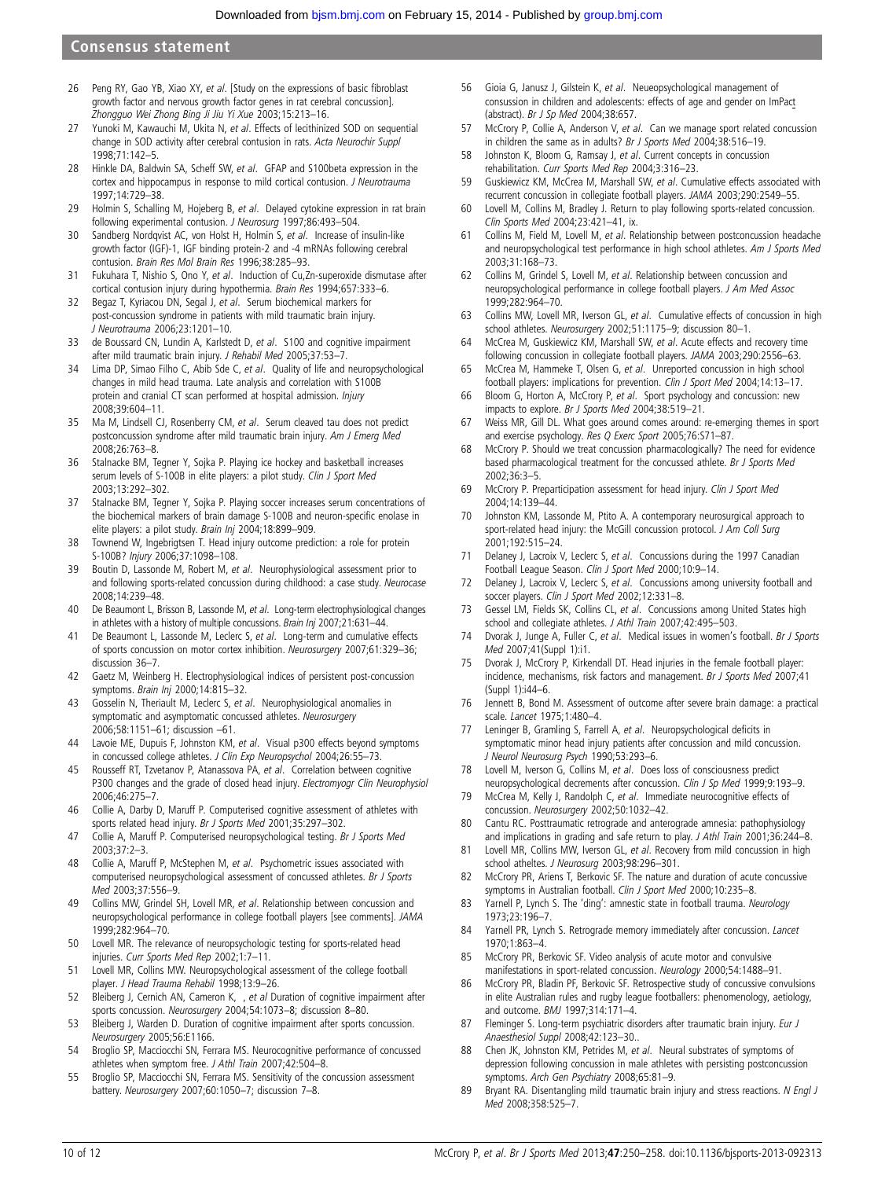- 26 Peng RY, Gao YB, Xiao XY, et al. [Study on the expressions of basic fibroblast growth factor and nervous growth factor genes in rat cerebral concussion]. Zhongguo Wei Zhong Bing Ji Jiu Yi Xue 2003;15:213–16.
- 27 Yunoki M, Kawauchi M, Ukita N, et al. Effects of lecithinized SOD on sequential change in SOD activity after cerebral contusion in rats. Acta Neurochir Suppl 1998;71:142–5.
- Hinkle DA, Baldwin SA, Scheff SW, et al. GFAP and S100beta expression in the cortex and hippocampus in response to mild cortical contusion. J Neurotrauma 1997;14:729–38.
- 29 Holmin S, Schalling M, Hojeberg B, et al. Delayed cytokine expression in rat brain following experimental contusion. J Neurosurg 1997;86:493–504.
- 30 Sandberg Nordqvist AC, von Holst H, Holmin S, et al. Increase of insulin-like growth factor (IGF)-1, IGF binding protein-2 and -4 mRNAs following cerebral contusion. Brain Res Mol Brain Res 1996;38:285–93.
- 31 Fukuhara T, Nishio S, Ono Y, et al. Induction of Cu,Zn-superoxide dismutase after cortical contusion injury during hypothermia. Brain Res 1994;657:333–6.
- 32 Begaz T, Kyriacou DN, Segal J, et al. Serum biochemical markers for post-concussion syndrome in patients with mild traumatic brain injury. J Neurotrauma 2006;23:1201–10.
- 33 de Boussard CN, Lundin A, Karlstedt D, et al. S100 and cognitive impairment after mild traumatic brain injury. J Rehabil Med 2005;37:53–7.
- Lima DP, Simao Filho C, Abib Sde C, et al. Quality of life and neuropsychological changes in mild head trauma. Late analysis and correlation with S100B protein and cranial CT scan performed at hospital admission. Injury 2008;39:604–11.
- 35 Ma M, Lindsell CJ, Rosenberry CM, et al. Serum cleaved tau does not predict postconcussion syndrome after mild traumatic brain injury. Am J Emerg Med 2008;26:763–8.
- 36 Stalnacke BM, Tegner Y, Sojka P. Playing ice hockey and basketball increases serum levels of S-100B in elite players: a pilot study. Clin J Sport Med 2003;13:292–302.
- 37 Stalnacke BM, Tegner Y, Sojka P. Playing soccer increases serum concentrations of the biochemical markers of brain damage S-100B and neuron-specific enolase in elite players: a pilot study. Brain Inj 2004;18:899–909.
- 38 Townend W, Ingebrigtsen T. Head injury outcome prediction: a role for protein S-100B? Injury 2006;37:1098–108.
- 39 Boutin D, Lassonde M, Robert M, et al. Neurophysiological assessment prior to and following sports-related concussion during childhood: a case study. Neurocase 2008;14:239–48.
- 40 De Beaumont L, Brisson B, Lassonde M, et al. Long-term electrophysiological changes in athletes with a history of multiple concussions. Brain Inj 2007;21:631-44.
- De Beaumont L, Lassonde M, Leclerc S, et al. Long-term and cumulative effects of sports concussion on motor cortex inhibition. Neurosurgery 2007;61:329–36; discussion 36–7.
- 42 Gaetz M, Weinberg H. Electrophysiological indices of persistent post-concussion symptoms. Brain Inj 2000;14:815–32.
- 43 Gosselin N, Theriault M, Leclerc S, et al. Neurophysiological anomalies in symptomatic and asymptomatic concussed athletes. Neurosurgery 2006;58:1151–61; discussion –61.
- 44 Lavoie ME, Dupuis F, Johnston KM, et al. Visual p300 effects beyond symptoms in concussed college athletes. J Clin Exp Neuropsychol 2004;26:55-73.
- 45 Rousseff RT, Tzvetanov P, Atanassova PA, et al. Correlation between cognitive P300 changes and the grade of closed head injury. Electromyogr Clin Neurophysiol 2006;46:275–7.
- 46 Collie A, Darby D, Maruff P. Computerised cognitive assessment of athletes with sports related head injury. Br J Sports Med 2001;35:297–302.
- 47 Collie A, Maruff P. Computerised neuropsychological testing. Br J Sports Med 2003;37:2–3.
- 48 Collie A, Maruff P, McStephen M, et al. Psychometric issues associated with computerised neuropsychological assessment of concussed athletes. Br J Sports Med 2003;37:556–9.
- 49 Collins MW, Grindel SH, Lovell MR, et al. Relationship between concussion and neuropsychological performance in college football players [see comments]. JAMA 1999;282:964–70.
- 50 Lovell MR. The relevance of neuropsychologic testing for sports-related head injuries. Curr Sports Med Rep 2002;1:7–11.
- 51 Lovell MR, Collins MW. Neuropsychological assessment of the college football player. J Head Trauma Rehabil 1998;13:9–26.
- 52 Bleiberg J, Cernich AN, Cameron K, , et al Duration of cognitive impairment after sports concussion. Neurosurgery 2004;54:1073–8; discussion 8–80.
- 53 Bleiberg J, Warden D. Duration of cognitive impairment after sports concussion. Neurosurgery 2005;56:E1166.
- 54 Broglio SP, Macciocchi SN, Ferrara MS. Neurocognitive performance of concussed athletes when symptom free. J Athl Train 2007;42:504–8.
- 55 Broglio SP, Macciocchi SN, Ferrara MS. Sensitivity of the concussion assessment battery. Neurosurgery 2007;60:1050–7; discussion 7–8.
- 56 Gioia G, Janusz J, Gilstein K, et al. Neueopsychological management of consussion in children and adolescents: effects of age and gender on ImPact (abstract). Br J Sp Med 2004;38:657.
- 57 McCrory P, Collie A, Anderson V, et al. Can we manage sport related concussion in children the same as in adults? Br J Sports Med 2004;38:516–19.
- 58 Johnston K, Bloom G, Ramsay J, et al. Current concepts in concussion rehabilitation. Curr Sports Med Rep 2004;3:316–23.
- 59 Guskiewicz KM, McCrea M, Marshall SW, et al. Cumulative effects associated with recurrent concussion in collegiate football players. JAMA 2003;290:2549–55.
- 60 Lovell M, Collins M, Bradley J. Return to play following sports-related concussion. Clin Sports Med 2004;23:421–41, ix.
- Collins M, Field M, Lovell M, et al. Relationship between postconcussion headache and neuropsychological test performance in high school athletes. Am J Sports Med 2003;31:168–73.
- 62 Collins M, Grindel S, Lovell M, et al. Relationship between concussion and neuropsychological performance in college football players. J Am Med Assoc 1999;282:964–70.
- 63 Collins MW, Lovell MR, Iverson GL, et al. Cumulative effects of concussion in high school athletes. Neurosurgery 2002;51:1175–9; discussion 80–1.
- 64 McCrea M, Guskiewicz KM, Marshall SW, et al. Acute effects and recovery time following concussion in collegiate football players. JAMA 2003;290:2556–63.
- 65 McCrea M, Hammeke T, Olsen G, et al. Unreported concussion in high school football players: implications for prevention. Clin J Sport Med 2004;14:13-17.
- 66 Bloom G, Horton A, McCrory P, et al. Sport psychology and concussion: new impacts to explore. Br J Sports Med 2004;38:519–21.
- 67 Weiss MR, Gill DL. What goes around comes around: re-emerging themes in sport and exercise psychology. Res Q Exerc Sport 2005;76:S71-87.
- 68 McCrory P. Should we treat concussion pharmacologically? The need for evidence based pharmacological treatment for the concussed athlete. Br J Sports Med 2002;36:3–5.
- 69 McCrory P. Preparticipation assessment for head injury. Clin J Sport Med 2004;14:139–44.
- 70 Johnston KM, Lassonde M, Ptito A. A contemporary neurosurgical approach to sport-related head injury: the McGill concussion protocol. J Am Coll Surg 2001;192:515–24.
- 71 Delaney J, Lacroix V, Leclerc S, et al. Concussions during the 1997 Canadian Football League Season. Clin J Sport Med 2000;10:9–14.
- 72 Delaney J, Lacroix V, Leclerc S, et al. Concussions among university football and soccer players. Clin J Sport Med 2002;12:331-8.
- 73 Gessel LM, Fields SK, Collins CL, et al. Concussions among United States high school and collegiate athletes. J Athl Train 2007;42:495–503.
- Dvorak J, Junge A, Fuller C, et al. Medical issues in women's football. Br J Sports Med 2007;41(Suppl 1):i1.
- 75 Dvorak J, McCrory P, Kirkendall DT. Head injuries in the female football player: incidence, mechanisms, risk factors and management. Br J Sports Med 2007;41 (Suppl 1):i44–6.
- 76 Jennett B, Bond M. Assessment of outcome after severe brain damage: a practical scale. Lancet 1975;1:480–4.
- 77 Leninger B, Gramling S, Farrell A, et al. Neuropsychological deficits in symptomatic minor head injury patients after concussion and mild concussion. J Neurol Neurosurg Psych 1990;53:293–6.
- 78 Lovell M, Iverson G, Collins M, et al. Does loss of consciousness predict neuropsychological decrements after concussion. Clin J Sp Med 1999;9:193-9.
- 79 McCrea M, Kelly J, Randolph C, et al. Immediate neurocognitive effects of concussion. Neurosurgery 2002;50:1032–42.
- 80 Cantu RC. Posttraumatic retrograde and anterograde amnesia: pathophysiology and implications in grading and safe return to play. J Athl Train 2001;36:244-8.
- 81 Lovell MR, Collins MW, Iverson GL, et al. Recovery from mild concussion in high school atheltes. J Neurosurg 2003;98:296–301.
- 82 McCrory PR, Ariens T, Berkovic SF. The nature and duration of acute concussive symptoms in Australian football. Clin J Sport Med 2000;10:235-8.
- 83 Yarnell P, Lynch S. The 'ding': amnestic state in football trauma. Neurology 1973;23:196–7.
- 84 Yarnell PR, Lynch S. Retrograde memory immediately after concussion. Lancet 1970;1:863–4.
- 85 McCrory PR, Berkovic SF. Video analysis of acute motor and convulsive manifestations in sport-related concussion. Neurology 2000;54:1488–91.
- 86 McCrory PR, Bladin PF, Berkovic SF. Retrospective study of concussive convulsions in elite Australian rules and rugby league footballers: phenomenology, aetiology, and outcome. BMJ 1997;314:171–4.
- 87 Fleminger S. Long-term psychiatric disorders after traumatic brain injury. Eur J Anaesthesiol Suppl 2008;42:123–30..
- 88 Chen JK, Johnston KM, Petrides M, et al. Neural substrates of symptoms of depression following concussion in male athletes with persisting postconcussion symptoms. Arch Gen Psychiatry 2008;65:81–9.
- 89 Bryant RA. Disentangling mild traumatic brain injury and stress reactions. N Engl J Med 2008;358:525–7.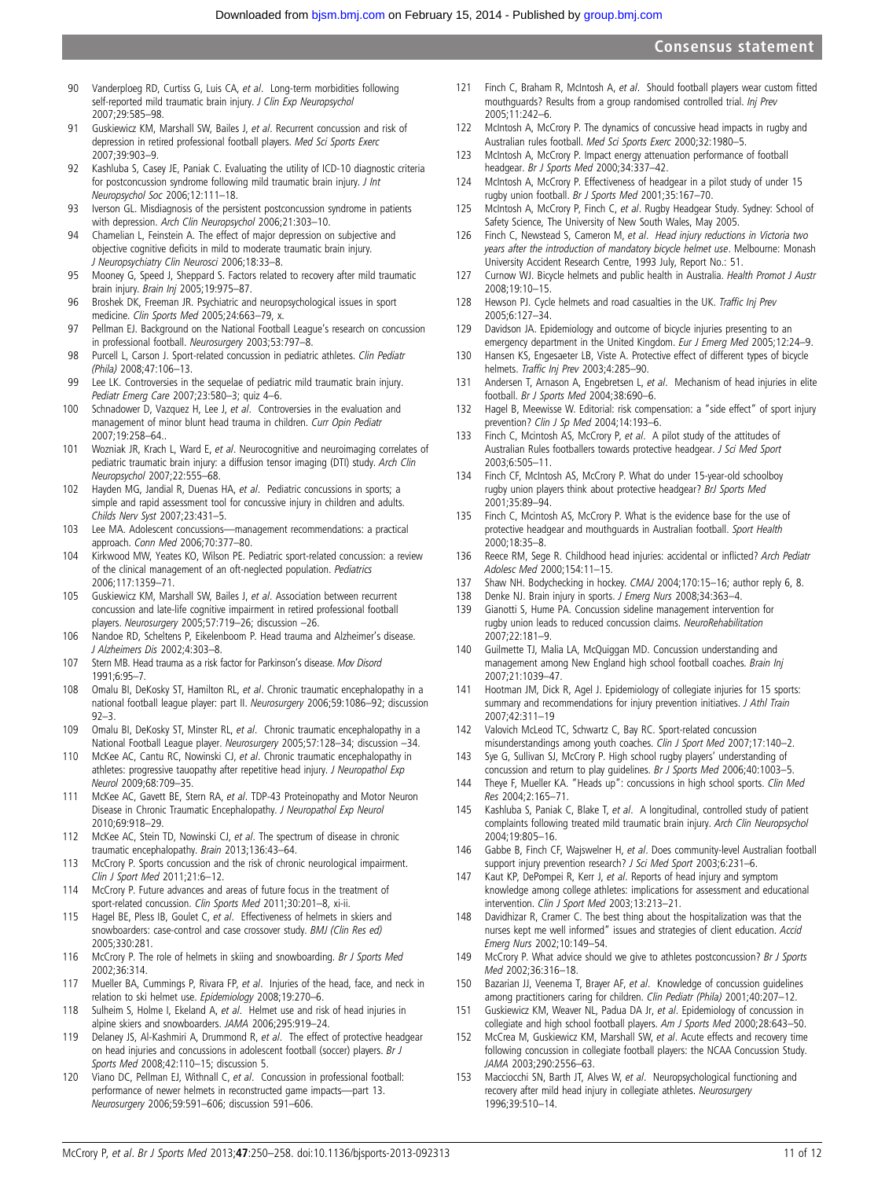- 90 Vanderploeg RD, Curtiss G, Luis CA, et al. Long-term morbidities following self-reported mild traumatic brain injury. J Clin Exp Neuropsychol 2007;29:585–98.
- 91 Guskiewicz KM, Marshall SW, Bailes J, et al. Recurrent concussion and risk of depression in retired professional football players. Med Sci Sports Exerc 2007;39:903–9.
- 92 Kashluba S, Casey JE, Paniak C. Evaluating the utility of ICD-10 diagnostic criteria for postconcussion syndrome following mild traumatic brain injury. J Int Neuropsychol Soc 2006;12:111–18.
- 93 Iverson GL. Misdiagnosis of the persistent postconcussion syndrome in patients with depression. Arch Clin Neuropsychol 2006;21:303–10.
- 94 Chamelian L, Feinstein A. The effect of major depression on subjective and objective cognitive deficits in mild to moderate traumatic brain injury. J Neuropsychiatry Clin Neurosci 2006;18:33–8.
- 95 Mooney G, Speed J, Sheppard S. Factors related to recovery after mild traumatic brain injury. Brain Inj 2005;19:975–87.
- 96 Broshek DK, Freeman JR. Psychiatric and neuropsychological issues in sport medicine. Clin Sports Med 2005;24:663–79, x.
- 97 Pellman EJ. Background on the National Football League's research on concussion in professional football. Neurosurgery 2003;53:797–8.
- 98 Purcell L, Carson J. Sport-related concussion in pediatric athletes. Clin Pediatr (Phila) 2008;47:106–13.
- 99 Lee LK. Controversies in the sequelae of pediatric mild traumatic brain injury. Pediatr Emerg Care 2007;23:580–3; quiz 4–6.
- 100 Schnadower D, Vazquez H, Lee J, et al. Controversies in the evaluation and management of minor blunt head trauma in children. Curr Opin Pediatr 2007;19:258–64..
- 101 Wozniak JR, Krach L, Ward E, et al. Neurocognitive and neuroimaging correlates of pediatric traumatic brain injury: a diffusion tensor imaging (DTI) study. Arch Clin Neuropsychol 2007;22:555–68.
- 102 Hayden MG, Jandial R, Duenas HA, et al. Pediatric concussions in sports; a simple and rapid assessment tool for concussive injury in children and adults. Childs Nerv Syst 2007;23:431–5.
- 103 Lee MA. Adolescent concussions—management recommendations: a practical approach. Conn Med 2006;70:377–80.
- 104 Kirkwood MW, Yeates KO, Wilson PE. Pediatric sport-related concussion: a review of the clinical management of an oft-neglected population. Pediatrics 2006;117:1359–71.
- 105 Guskiewicz KM, Marshall SW, Bailes J, et al. Association between recurrent concussion and late-life cognitive impairment in retired professional football players. Neurosurgery 2005;57:719–26; discussion –26.
- 106 Nandoe RD, Scheltens P, Eikelenboom P. Head trauma and Alzheimer's disease. J Alzheimers Dis 2002;4:303–8.
- 107 Stern MB. Head trauma as a risk factor for Parkinson's disease. Mov Disord 1991;6:95–7.
- 108 Omalu BI, DeKosky ST, Hamilton RL, et al. Chronic traumatic encephalopathy in a national football league player: part II. Neurosurgery 2006;59:1086–92; discussion  $92 - 3$
- 109 Omalu BI, DeKosky ST, Minster RL, et al. Chronic traumatic encephalopathy in a National Football League player. Neurosurgery 2005;57:128–34; discussion –34.
- 110 McKee AC, Cantu RC, Nowinski CJ, et al. Chronic traumatic encephalopathy in athletes: progressive tauopathy after repetitive head injury. J Neuropathol Exp Neurol 2009;68:709–35.
- 111 McKee AC, Gavett BE, Stern RA, et al. TDP-43 Proteinopathy and Motor Neuron Disease in Chronic Traumatic Encephalopathy. J Neuropathol Exp Neurol 2010;69:918–29.
- 112 McKee AC, Stein TD, Nowinski CJ, et al. The spectrum of disease in chronic traumatic encephalopathy. Brain 2013;136:43–64.
- 113 McCrory P. Sports concussion and the risk of chronic neurological impairment. Clin J Sport Med 2011;21:6–12.
- 114 McCrory P. Future advances and areas of future focus in the treatment of sport-related concussion. Clin Sports Med 2011;30:201-8, xi-ii.
- 115 Hagel BE, Pless IB, Goulet C, et al. Effectiveness of helmets in skiers and snowboarders: case-control and case crossover study. BMJ (Clin Res ed) 2005;330:281.
- 116 McCrory P. The role of helmets in skiing and snowboarding. Br J Sports Med 2002;36:314.
- 117 Mueller BA, Cummings P, Rivara FP, et al. Injuries of the head, face, and neck in relation to ski helmet use. Epidemiology 2008;19:270–6.
- 118 Sulheim S, Holme I, Ekeland A, et al. Helmet use and risk of head injuries in alpine skiers and snowboarders. JAMA 2006;295:919–24.
- 119 Delaney JS, Al-Kashmiri A, Drummond R, et al. The effect of protective headgear on head injuries and concussions in adolescent football (soccer) players. Br J Sports Med 2008;42:110–15; discussion 5.
- 120 Viano DC, Pellman EJ, Withnall C, et al. Concussion in professional football: performance of newer helmets in reconstructed game impacts—part 13. Neurosurgery 2006;59:591–606; discussion 591–606.
- 121 Finch C, Braham R, McIntosh A, et al. Should football players wear custom fitted mouthguards? Results from a group randomised controlled trial. Inj Prev 2005;11:242–6.
- 122 McIntosh A, McCrory P. The dynamics of concussive head impacts in rugby and Australian rules football. Med Sci Sports Exerc 2000;32:1980–5.
- 123 McIntosh A, McCrory P. Impact energy attenuation performance of football headgear. Br J Sports Med 2000;34:337-42.
- 124 McIntosh A, McCrory P. Effectiveness of headgear in a pilot study of under 15 rugby union football. Br J Sports Med 2001;35:167–70.
- 125 McIntosh A, McCrory P, Finch C, et al. Rugby Headgear Study. Sydney: School of Safety Science, The University of New South Wales, May 2005.
- 126 Finch C, Newstead S, Cameron M, et al. Head injury reductions in Victoria two years after the introduction of mandatory bicycle helmet use. Melbourne: Monash University Accident Research Centre, 1993 July, Report No.: 51.
- 127 Curnow WJ. Bicycle helmets and public health in Australia. Health Promot J Austr 2008;19:10–15.
- 128 Hewson PJ. Cycle helmets and road casualties in the UK. Traffic Inj Prev 2005;6:127–34.
- 129 Davidson JA. Epidemiology and outcome of bicycle injuries presenting to an emergency department in the United Kingdom. Eur J Emerg Med 2005;12:24–9.
- 130 Hansen KS, Engesaeter LB, Viste A. Protective effect of different types of bicycle helmets. Traffic Inj Prev 2003;4:285-90.
- 131 Andersen T, Arnason A, Engebretsen L, et al. Mechanism of head injuries in elite football. Br J Sports Med 2004;38:690–6.
- 132 Hagel B, Meewisse W. Editorial: risk compensation: a "side effect" of sport injury prevention? Clin J Sp Med 2004;14:193–6.
- 133 Finch C, Mcintosh AS, McCrory P, et al. A pilot study of the attitudes of Australian Rules footballers towards protective headgear. J Sci Med Sport 2003;6:505–11.
- 134 Finch CF, McIntosh AS, McCrory P. What do under 15-year-old schoolboy rugby union players think about protective headgear? BrJ Sports Med 2001;35:89–94.
- 135 Finch C, Mcintosh AS, McCrory P. What is the evidence base for the use of protective headgear and mouthguards in Australian football. Sport Health 2000;18:35–8.
- 136 Reece RM, Sege R. Childhood head injuries: accidental or inflicted? Arch Pediatr Adolesc Med 2000;154:11–15.
- 137 Shaw NH. Bodychecking in hockey. CMAJ 2004;170:15–16; author reply 6, 8.
- 138 Denke NJ. Brain injury in sports. J Emerg Nurs 2008;34:363–4.
- 139 Gianotti S, Hume PA. Concussion sideline management intervention for rugby union leads to reduced concussion claims. NeuroRehabilitation 2007;22:181–9.
- 140 Guilmette TJ, Malia LA, McQuiggan MD. Concussion understanding and management among New England high school football coaches. Brain Inj 2007;21:1039–47.
- 141 Hootman JM, Dick R, Agel J. Epidemiology of collegiate injuries for 15 sports: summary and recommendations for injury prevention initiatives. J Athl Train 2007;42:311–19
- 142 Valovich McLeod TC, Schwartz C, Bay RC. Sport-related concussion misunderstandings among youth coaches. Clin J Sport Med 2007;17:140–2.
- 143 Sye G, Sullivan SJ, McCrory P. High school rugby players' understanding of concussion and return to play guidelines. Br J Sports Med 2006;40:1003–5.
- 144 Theye F, Mueller KA. "Heads up": concussions in high school sports. Clin Med Res 2004;2:165–71.
- 145 Kashluba S, Paniak C, Blake T, et al. A longitudinal, controlled study of patient complaints following treated mild traumatic brain injury. Arch Clin Neuropsychol 2004;19:805–16.
- 146 Gabbe B, Finch CF, Wajswelner H, et al. Does community-level Australian football support injury prevention research? J Sci Med Sport 2003;6:231-6.
- 147 Kaut KP, DePompei R, Kerr J, et al. Reports of head injury and symptom knowledge among college athletes: implications for assessment and educational intervention. Clin J Sport Med 2003;13:213–21.
- 148 Davidhizar R, Cramer C. The best thing about the hospitalization was that the nurses kept me well informed" issues and strategies of client education. Accid Emerg Nurs 2002;10:149–54.
- 149 McCrory P. What advice should we give to athletes postconcussion? Br J Sports Med 2002;36:316–18.
- 150 Bazarian JJ, Veenema T, Brayer AF, et al. Knowledge of concussion guidelines among practitioners caring for children. Clin Pediatr (Phila) 2001;40:207–12.
- 151 Guskiewicz KM, Weaver NL, Padua DA Jr, et al. Epidemiology of concussion in collegiate and high school football players. Am J Sports Med 2000;28:643–50.
- 152 McCrea M, Guskiewicz KM, Marshall SW, et al. Acute effects and recovery time following concussion in collegiate football players: the NCAA Concussion Study. JAMA 2003;290:2556–63.
- 153 Macciocchi SN, Barth JT, Alves W, et al. Neuropsychological functioning and recovery after mild head injury in collegiate athletes. Neurosurgery 1996;39:510–14.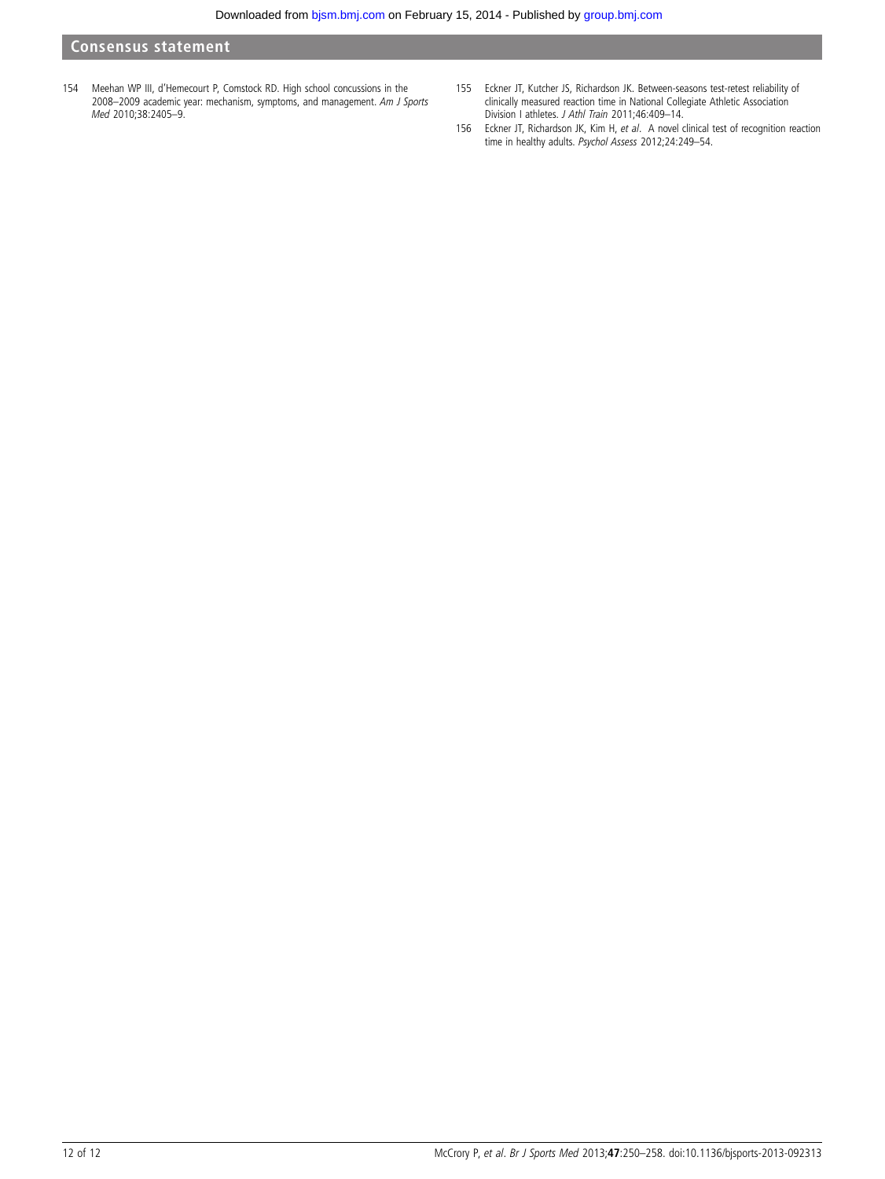- 154 Meehan WP III, d'Hemecourt P, Comstock RD. High school concussions in the 2008-2009 academic year: mechanism, symptoms, and management. Am J Sports Med 2010;38:2405–9.
- 155 Eckner JT, Kutcher JS, Richardson JK. Between-seasons test-retest reliability of clinically measured reaction time in National Collegiate Athletic Association Division I athletes. J Athl Train 2011;46:409–14.
- 156 Eckner JT, Richardson JK, Kim H, et al. A novel clinical test of recognition reaction time in healthy adults. Psychol Assess 2012;24:249–54.